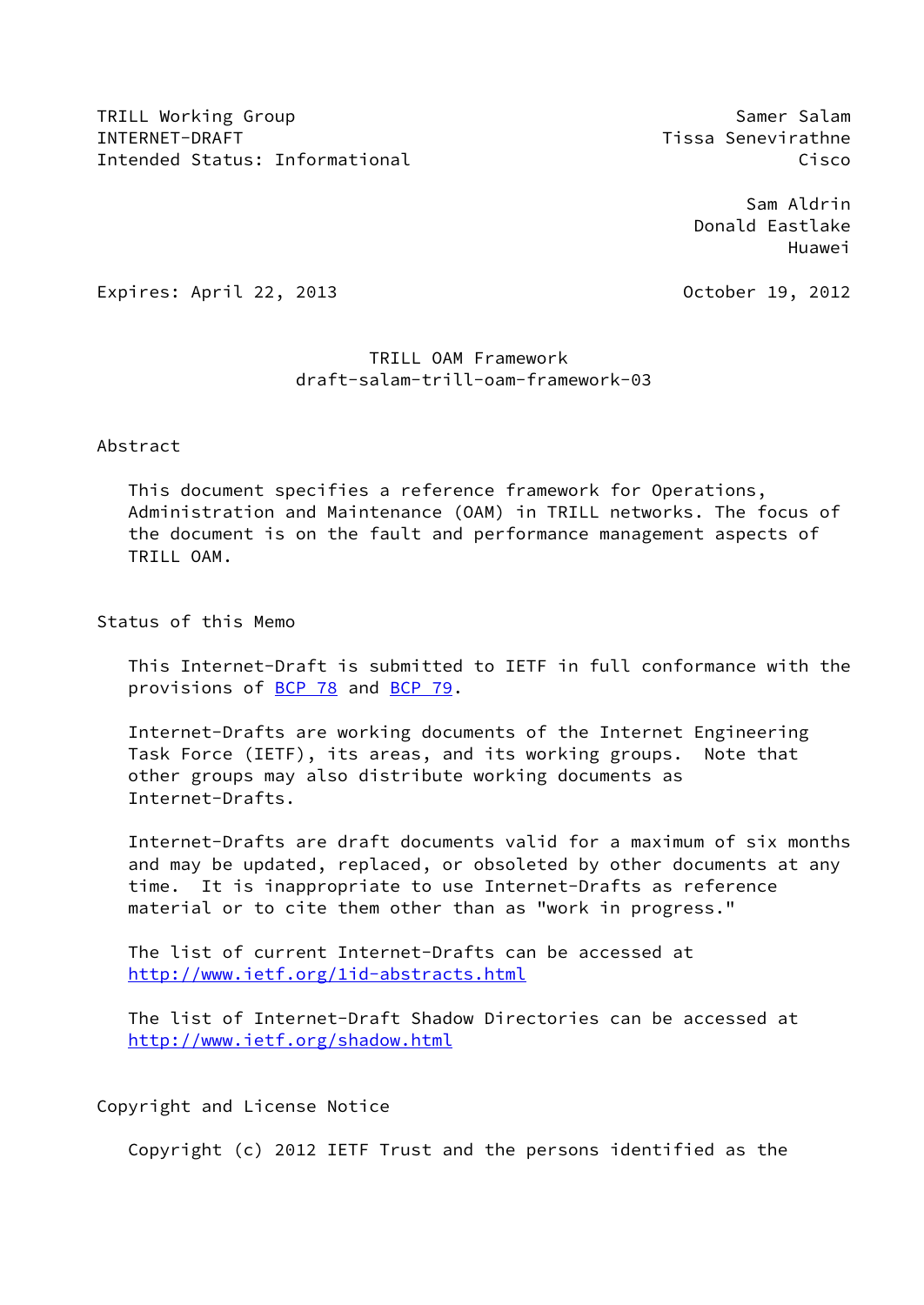TRILL Working Group Samer Salam Samer Salam Samer Salam Samer Salam Samer Salam Samer Salam Samer Salam Samer Salam INTERNET-DRAFT Tissa Senevirathne Intended Status: Informational Cisco Controller Controller Controller Controller Cisco

 Sam Aldrin Donald Eastlake Huawei

Expires: April 22, 2013 October 19, 2012

# TRILL OAM Framework draft-salam-trill-oam-framework-03

# Abstract

 This document specifies a reference framework for Operations, Administration and Maintenance (OAM) in TRILL networks. The focus of the document is on the fault and performance management aspects of TRILL OAM.

Status of this Memo

 This Internet-Draft is submitted to IETF in full conformance with the provisions of [BCP 78](https://datatracker.ietf.org/doc/pdf/bcp78) and [BCP 79](https://datatracker.ietf.org/doc/pdf/bcp79).

 Internet-Drafts are working documents of the Internet Engineering Task Force (IETF), its areas, and its working groups. Note that other groups may also distribute working documents as Internet-Drafts.

 Internet-Drafts are draft documents valid for a maximum of six months and may be updated, replaced, or obsoleted by other documents at any time. It is inappropriate to use Internet-Drafts as reference material or to cite them other than as "work in progress."

 The list of current Internet-Drafts can be accessed at <http://www.ietf.org/1id-abstracts.html>

 The list of Internet-Draft Shadow Directories can be accessed at <http://www.ietf.org/shadow.html>

Copyright and License Notice

Copyright (c) 2012 IETF Trust and the persons identified as the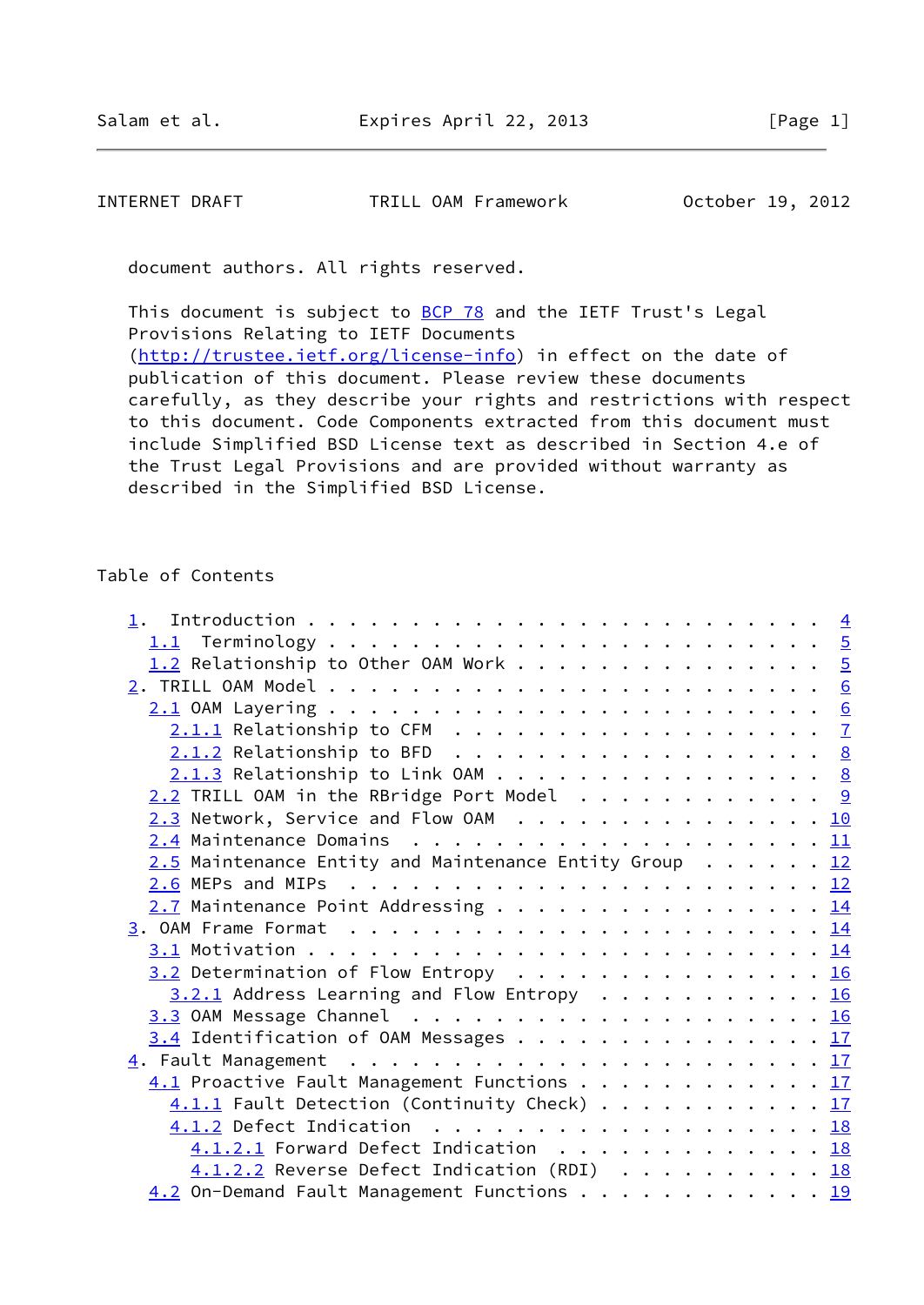INTERNET DRAFT TRILL OAM Framework October 19, 2012

document authors. All rights reserved.

This document is subject to [BCP 78](https://datatracker.ietf.org/doc/pdf/bcp78) and the IETF Trust's Legal Provisions Relating to IETF Documents [\(http://trustee.ietf.org/license-info](http://trustee.ietf.org/license-info)) in effect on the date of publication of this document. Please review these documents carefully, as they describe your rights and restrictions with respect to this document. Code Components extracted from this document must include Simplified BSD License text as described in Section 4.e of the Trust Legal Provisions and are provided without warranty as described in the Simplified BSD License.

#### Table of Contents

| 1.2 Relationship to Other OAM Work 5                   |  |
|--------------------------------------------------------|--|
|                                                        |  |
|                                                        |  |
|                                                        |  |
| $2.1.2$ Relationship to BFD 8                          |  |
| $2.1.3$ Relationship to Link OAM 8                     |  |
| $2.2$ TRILL OAM in the RBridge Port Model 9            |  |
| $2.3$ Network, Service and Flow OAM 10                 |  |
|                                                        |  |
| 2.5 Maintenance Entity and Maintenance Entity Group 12 |  |
|                                                        |  |
| $2.7$ Maintenance Point Addressing 14                  |  |
|                                                        |  |
|                                                        |  |
| $3.2$ Determination of Flow Entropy 16                 |  |
| $3.2.1$ Address Learning and Flow Entropy 16           |  |
|                                                        |  |
| 3.4 Identification of OAM Messages 17                  |  |
|                                                        |  |
| 4.1 Proactive Fault Management Functions 17            |  |
| 4.1.1 Fault Detection (Continuity Check) 17            |  |
| 4.1.2 Defect Indication 18                             |  |
| 4.1.2.1 Forward Defect Indication 18                   |  |
| $4.1.2.2$ Reverse Defect Indication (RDI) 18           |  |
| 4.2 On-Demand Fault Management Functions 19            |  |
|                                                        |  |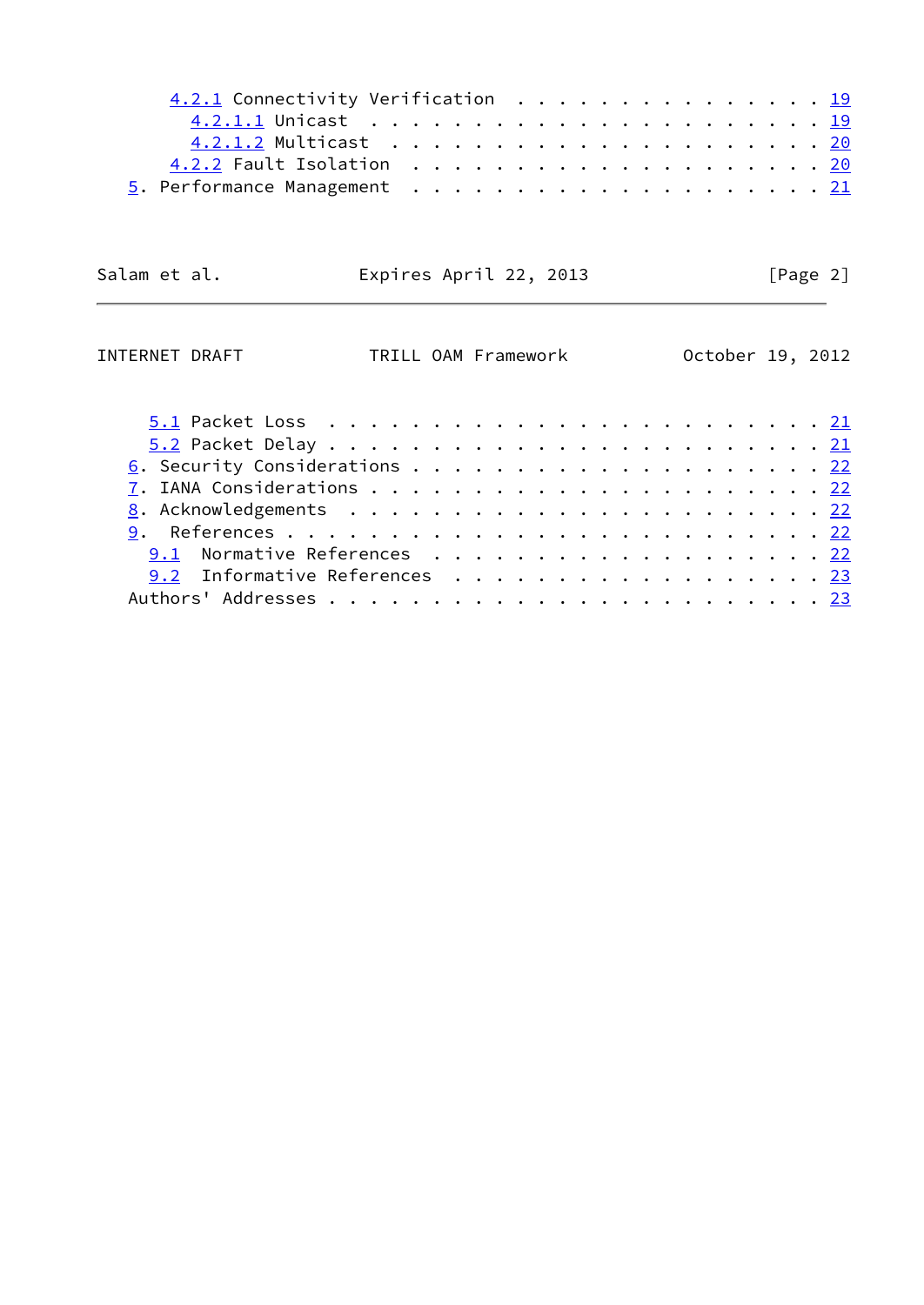| 4.2.1 Connectivity Verification 19 |  |  |  |  |  |  |  |  |  |  |  |
|------------------------------------|--|--|--|--|--|--|--|--|--|--|--|
|                                    |  |  |  |  |  |  |  |  |  |  |  |
|                                    |  |  |  |  |  |  |  |  |  |  |  |
|                                    |  |  |  |  |  |  |  |  |  |  |  |
|                                    |  |  |  |  |  |  |  |  |  |  |  |
|                                    |  |  |  |  |  |  |  |  |  |  |  |

Salam et al. **Expires April 22, 2013** [Page 2]

L.

| INTERNET DRAFT | TRILL OAM Framework           |  |  |  |  |  |  |  |  |  |  | October 19, 2012 |
|----------------|-------------------------------|--|--|--|--|--|--|--|--|--|--|------------------|
|                |                               |  |  |  |  |  |  |  |  |  |  |                  |
|                |                               |  |  |  |  |  |  |  |  |  |  |                  |
|                |                               |  |  |  |  |  |  |  |  |  |  |                  |
|                |                               |  |  |  |  |  |  |  |  |  |  |                  |
|                |                               |  |  |  |  |  |  |  |  |  |  |                  |
|                |                               |  |  |  |  |  |  |  |  |  |  |                  |
|                |                               |  |  |  |  |  |  |  |  |  |  |                  |
|                | 9.1 Normative References 22   |  |  |  |  |  |  |  |  |  |  |                  |
|                | 9.2 Informative References 23 |  |  |  |  |  |  |  |  |  |  |                  |
|                |                               |  |  |  |  |  |  |  |  |  |  |                  |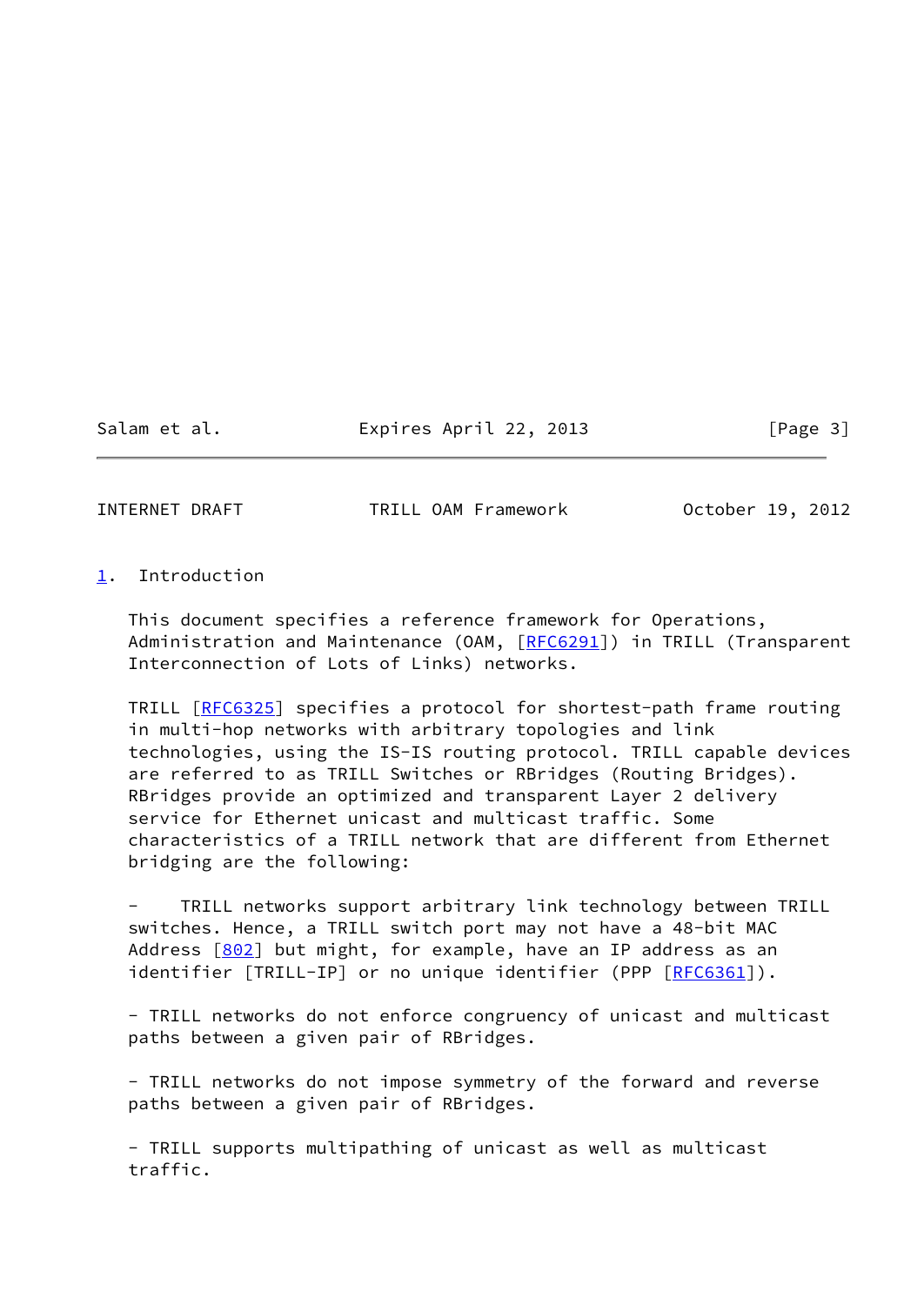Salam et al. **Expires April 22, 2013** [Page 3]

<span id="page-3-1"></span>INTERNET DRAFT TRILL OAM Framework October 19, 2012

## <span id="page-3-0"></span>[1](#page-3-0). Introduction

 This document specifies a reference framework for Operations, Administration and Maintenance (OAM, [\[RFC6291](https://datatracker.ietf.org/doc/pdf/rfc6291)]) in TRILL (Transparent Interconnection of Lots of Links) networks.

TRILL [[RFC6325](https://datatracker.ietf.org/doc/pdf/rfc6325)] specifies a protocol for shortest-path frame routing in multi-hop networks with arbitrary topologies and link technologies, using the IS-IS routing protocol. TRILL capable devices are referred to as TRILL Switches or RBridges (Routing Bridges). RBridges provide an optimized and transparent Layer 2 delivery service for Ethernet unicast and multicast traffic. Some characteristics of a TRILL network that are different from Ethernet bridging are the following:

TRILL networks support arbitrary link technology between TRILL switches. Hence, a TRILL switch port may not have a 48-bit MAC Address  $[802]$  $[802]$  but might, for example, have an IP address as an identifier [TRILL-IP] or no unique identifier (PPP [[RFC6361\]](https://datatracker.ietf.org/doc/pdf/rfc6361)).

 - TRILL networks do not enforce congruency of unicast and multicast paths between a given pair of RBridges.

 - TRILL networks do not impose symmetry of the forward and reverse paths between a given pair of RBridges.

 - TRILL supports multipathing of unicast as well as multicast traffic.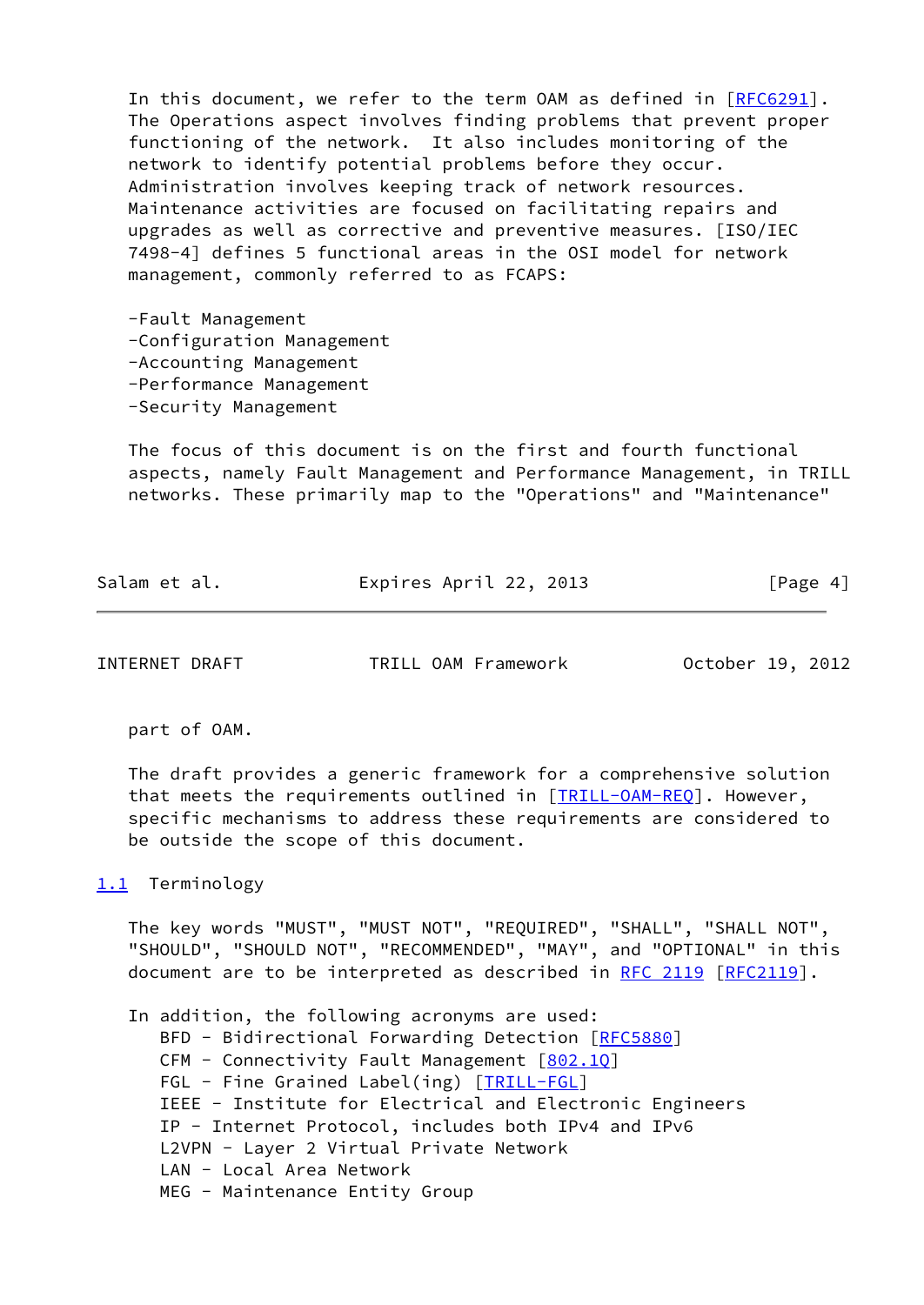In this document, we refer to the term OAM as defined in [\[RFC6291](https://datatracker.ietf.org/doc/pdf/rfc6291)]. The Operations aspect involves finding problems that prevent proper functioning of the network. It also includes monitoring of the network to identify potential problems before they occur. Administration involves keeping track of network resources. Maintenance activities are focused on facilitating repairs and upgrades as well as corrective and preventive measures. [ISO/IEC 7498-4] defines 5 functional areas in the OSI model for network management, commonly referred to as FCAPS:

 -Fault Management -Configuration Management -Accounting Management -Performance Management -Security Management

 The focus of this document is on the first and fourth functional aspects, namely Fault Management and Performance Management, in TRILL networks. These primarily map to the "Operations" and "Maintenance"

Salam et al. **Expires April 22, 2013** [Page 4]

<span id="page-4-1"></span>INTERNET DRAFT TRILL OAM Framework October 19, 2012

part of OAM.

 The draft provides a generic framework for a comprehensive solution that meets the requirements outlined in [\[TRILL-OAM-REQ](#page-5-3)]. However, specific mechanisms to address these requirements are considered to be outside the scope of this document.

#### <span id="page-4-0"></span>[1.1](#page-4-0) Terminology

 The key words "MUST", "MUST NOT", "REQUIRED", "SHALL", "SHALL NOT", "SHOULD", "SHOULD NOT", "RECOMMENDED", "MAY", and "OPTIONAL" in this document are to be interpreted as described in [RFC 2119 \[RFC2119](https://datatracker.ietf.org/doc/pdf/rfc2119)].

 In addition, the following acronyms are used: BFD - Bidirectional Forwarding Detection [\[RFC5880](https://datatracker.ietf.org/doc/pdf/rfc5880)] CFM - Connectivity Fault Management [802.10] FGL - Fine Grained Label(ing) [\[TRILL-FGL\]](#page-25-2) IEEE - Institute for Electrical and Electronic Engineers IP - Internet Protocol, includes both IPv4 and IPv6 L2VPN - Layer 2 Virtual Private Network LAN - Local Area Network MEG - Maintenance Entity Group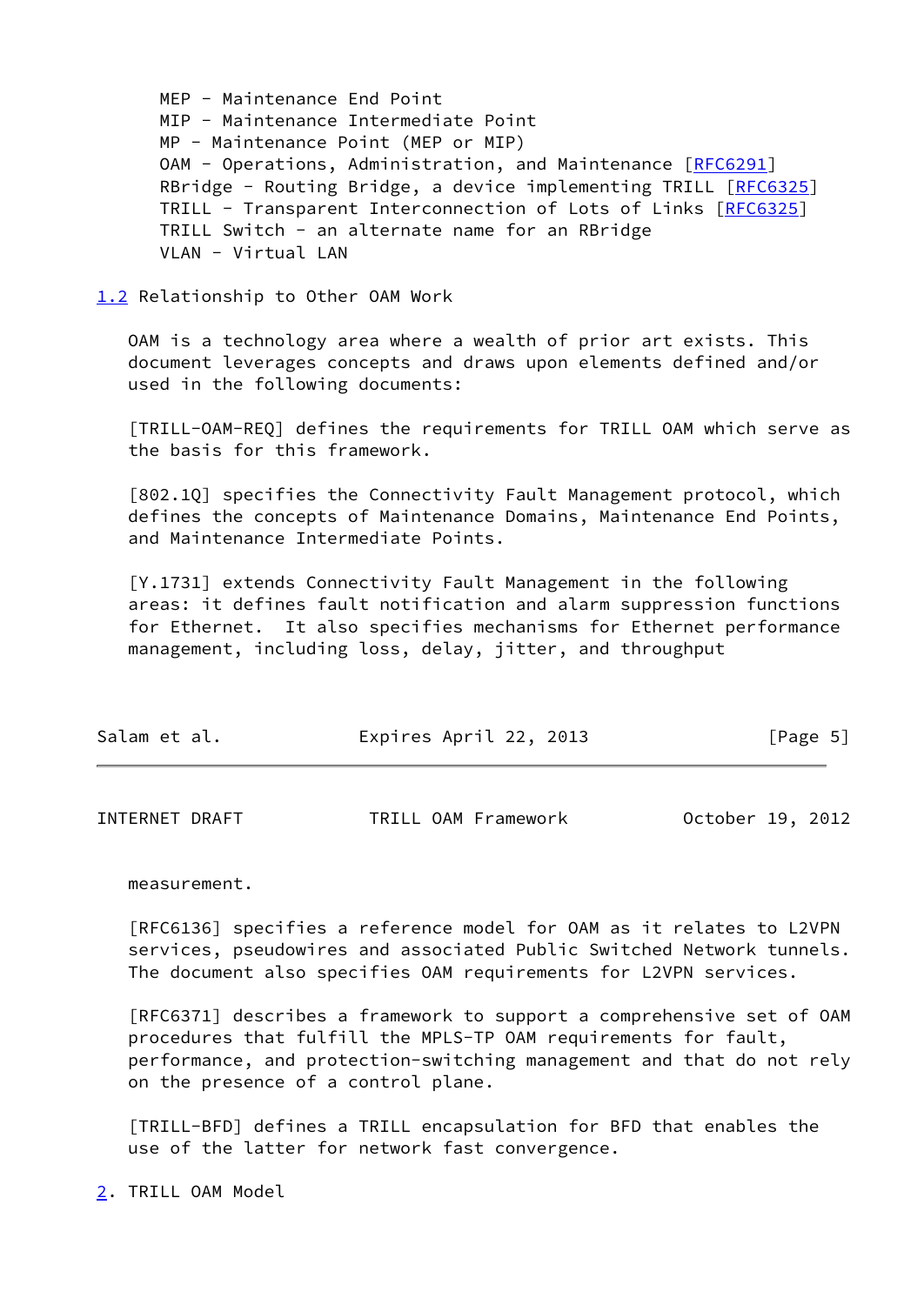MEP - Maintenance End Point MIP - Maintenance Intermediate Point MP - Maintenance Point (MEP or MIP) OAM - Operations, Administration, and Maintenance [\[RFC6291](https://datatracker.ietf.org/doc/pdf/rfc6291)] RBridge - Routing Bridge, a device implementing TRILL [\[RFC6325](https://datatracker.ietf.org/doc/pdf/rfc6325)] TRILL - Transparent Interconnection of Lots of Links [\[RFC6325](https://datatracker.ietf.org/doc/pdf/rfc6325)] TRILL Switch - an alternate name for an RBridge VLAN - Virtual LAN

<span id="page-5-0"></span>[1.2](#page-5-0) Relationship to Other OAM Work

 OAM is a technology area where a wealth of prior art exists. This document leverages concepts and draws upon elements defined and/or used in the following documents:

<span id="page-5-3"></span> [TRILL-OAM-REQ] defines the requirements for TRILL OAM which serve as the basis for this framework.

<span id="page-5-4"></span> [802.1Q] specifies the Connectivity Fault Management protocol, which defines the concepts of Maintenance Domains, Maintenance End Points, and Maintenance Intermediate Points.

 [Y.1731] extends Connectivity Fault Management in the following areas: it defines fault notification and alarm suppression functions for Ethernet. It also specifies mechanisms for Ethernet performance management, including loss, delay, jitter, and throughput

| Salam et al. | Expires April 22, 2013 | [Page 5] |
|--------------|------------------------|----------|
|              |                        |          |

<span id="page-5-2"></span>

| INTERNET DRAFT<br>TRILL OAM Framework | October 19, 2012 |
|---------------------------------------|------------------|
|---------------------------------------|------------------|

#### measurement.

 [RFC6136] specifies a reference model for OAM as it relates to L2VPN services, pseudowires and associated Public Switched Network tunnels. The document also specifies OAM requirements for L2VPN services.

 [RFC6371] describes a framework to support a comprehensive set of OAM procedures that fulfill the MPLS-TP OAM requirements for fault, performance, and protection-switching management and that do not rely on the presence of a control plane.

<span id="page-5-5"></span> [TRILL-BFD] defines a TRILL encapsulation for BFD that enables the use of the latter for network fast convergence.

<span id="page-5-1"></span>[2](#page-5-1). TRILL OAM Model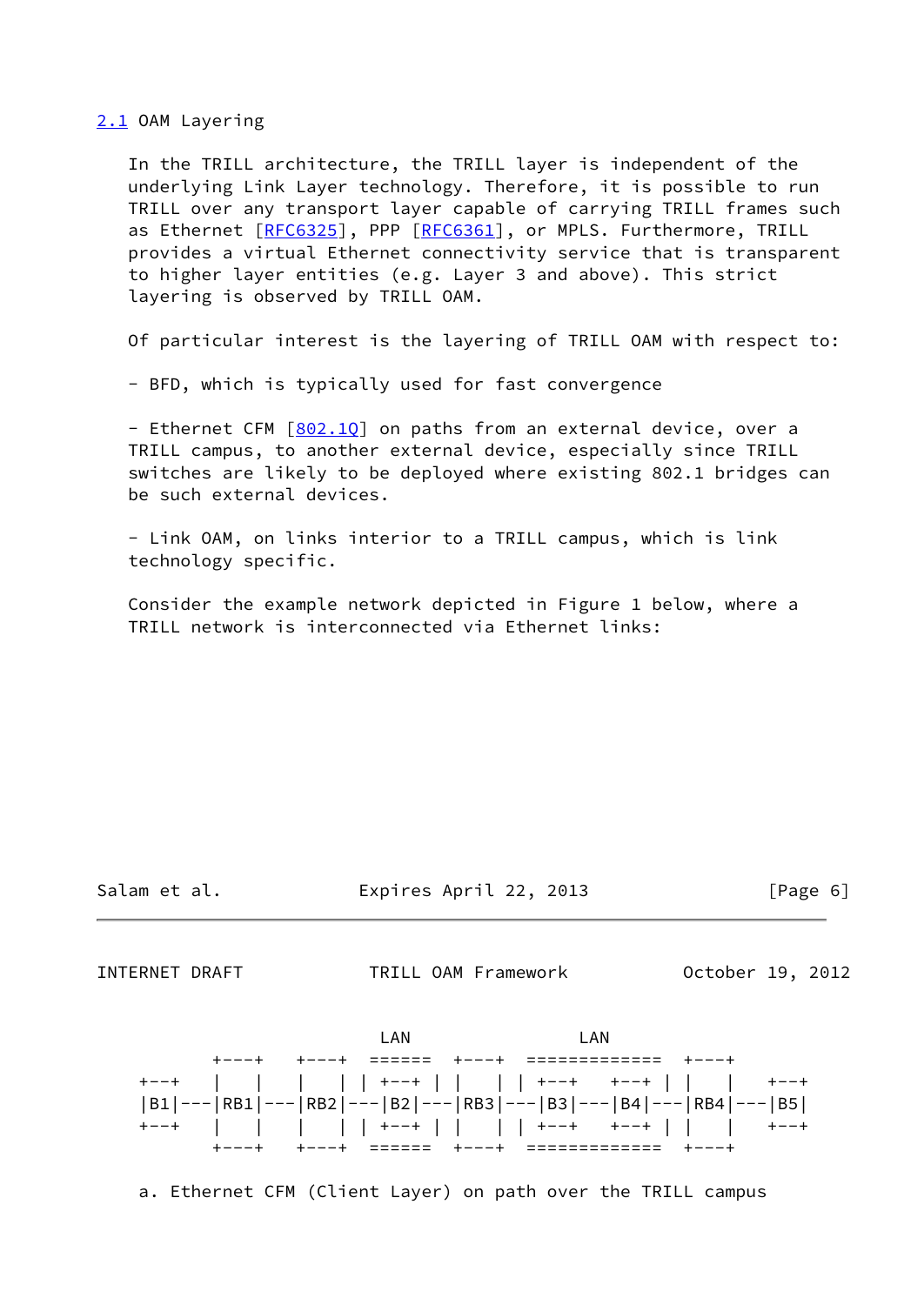<span id="page-6-0"></span>[2.1](#page-6-0) OAM Layering

 In the TRILL architecture, the TRILL layer is independent of the underlying Link Layer technology. Therefore, it is possible to run TRILL over any transport layer capable of carrying TRILL frames such as Ethernet [\[RFC6325](https://datatracker.ietf.org/doc/pdf/rfc6325)], PPP [[RFC6361\]](https://datatracker.ietf.org/doc/pdf/rfc6361), or MPLS. Furthermore, TRILL provides a virtual Ethernet connectivity service that is transparent to higher layer entities (e.g. Layer 3 and above). This strict layering is observed by TRILL OAM.

Of particular interest is the layering of TRILL OAM with respect to:

- BFD, which is typically used for fast convergence

- Ethernet CFM [802.10] on paths from an external device, over a TRILL campus, to another external device, especially since TRILL switches are likely to be deployed where existing 802.1 bridges can be such external devices.

 - Link OAM, on links interior to a TRILL campus, which is link technology specific.

 Consider the example network depicted in Figure 1 below, where a TRILL network is interconnected via Ethernet links:

Salam et al. Expires April 22, 2013 [Page 6]

<span id="page-6-1"></span>INTERNET DRAFT TRILL OAM Framework October 19, 2012



a. Ethernet CFM (Client Layer) on path over the TRILL campus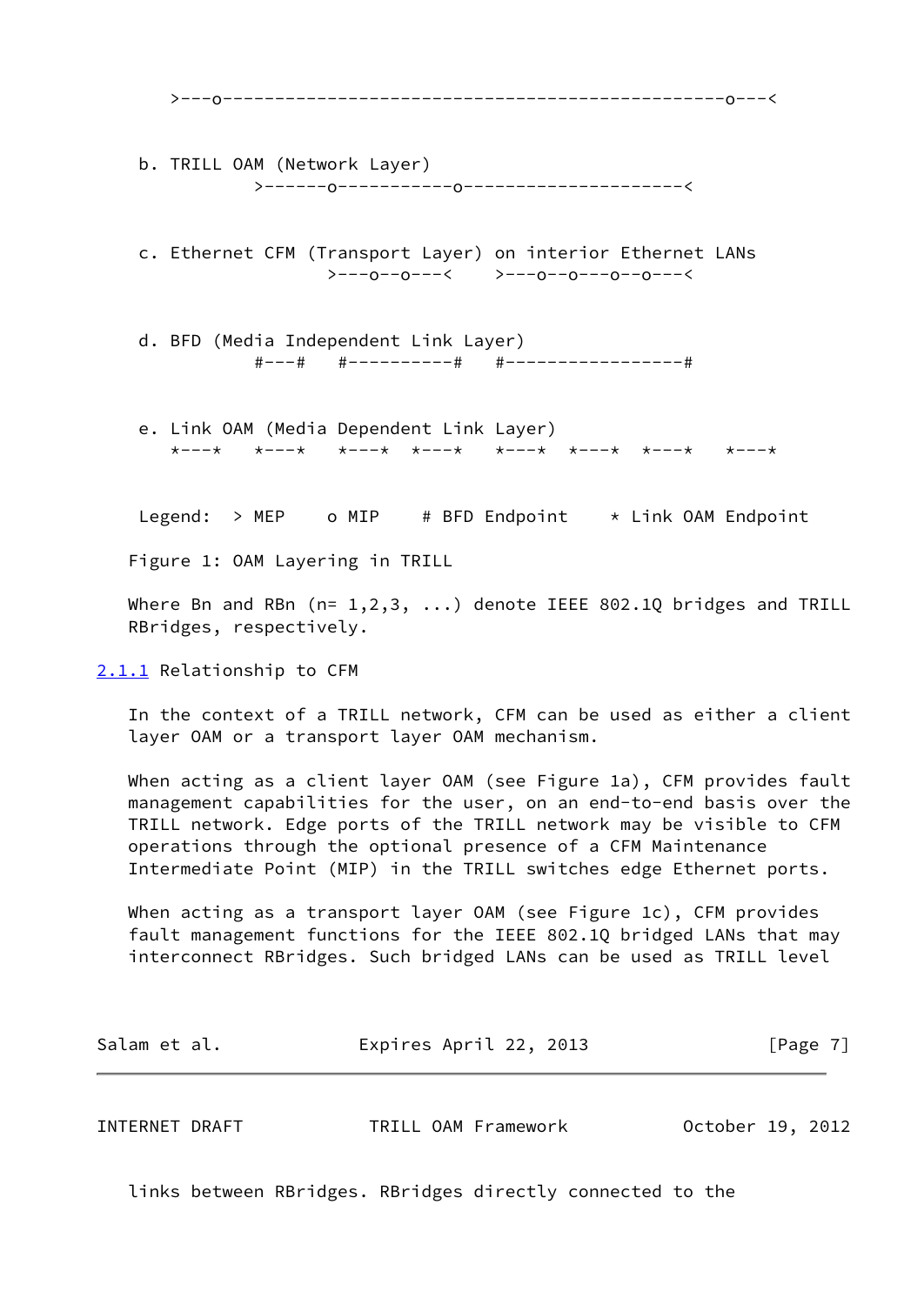>---o------------------------------------------------o---< b. TRILL OAM (Network Layer) >------o-----------o---------------------< c. Ethernet CFM (Transport Layer) on interior Ethernet LANs >---o--o---< >---o--o---o--o---< d. BFD (Media Independent Link Layer) #---# #----------# #-----------------# e. Link OAM (Media Dependent Link Layer) \*---\* \*---\* \*---\* \*---\* \*---\* \*---\* \*---\* \*---\* Legend:  $>$  MEP o MIP # BFD Endpoint  $*$  Link OAM Endpoint Figure 1: OAM Layering in TRILL Where Bn and RBn ( $n= 1,2,3, ...$ ) denote IEEE 802.1Q bridges and TRILL RBridges, respectively. [2.1.1](#page-7-0) Relationship to CFM In the context of a TRILL network, CFM can be used as either a client layer OAM or a transport layer OAM mechanism. When acting as a client layer OAM (see Figure 1a), CFM provides fault management capabilities for the user, on an end-to-end basis over the TRILL network. Edge ports of the TRILL network may be visible to CFM operations through the optional presence of a CFM Maintenance Intermediate Point (MIP) in the TRILL switches edge Ethernet ports.

<span id="page-7-0"></span> When acting as a transport layer OAM (see Figure 1c), CFM provides fault management functions for the IEEE 802.1Q bridged LANs that may interconnect RBridges. Such bridged LANs can be used as TRILL level

| Expires April 22, 2013<br>Salam et al. | [Page 7] |
|----------------------------------------|----------|
|----------------------------------------|----------|

<span id="page-7-1"></span>

| TRILL OAM Framework<br>INTERNET DRAFT | October 19, 2012 |
|---------------------------------------|------------------|
|---------------------------------------|------------------|

links between RBridges. RBridges directly connected to the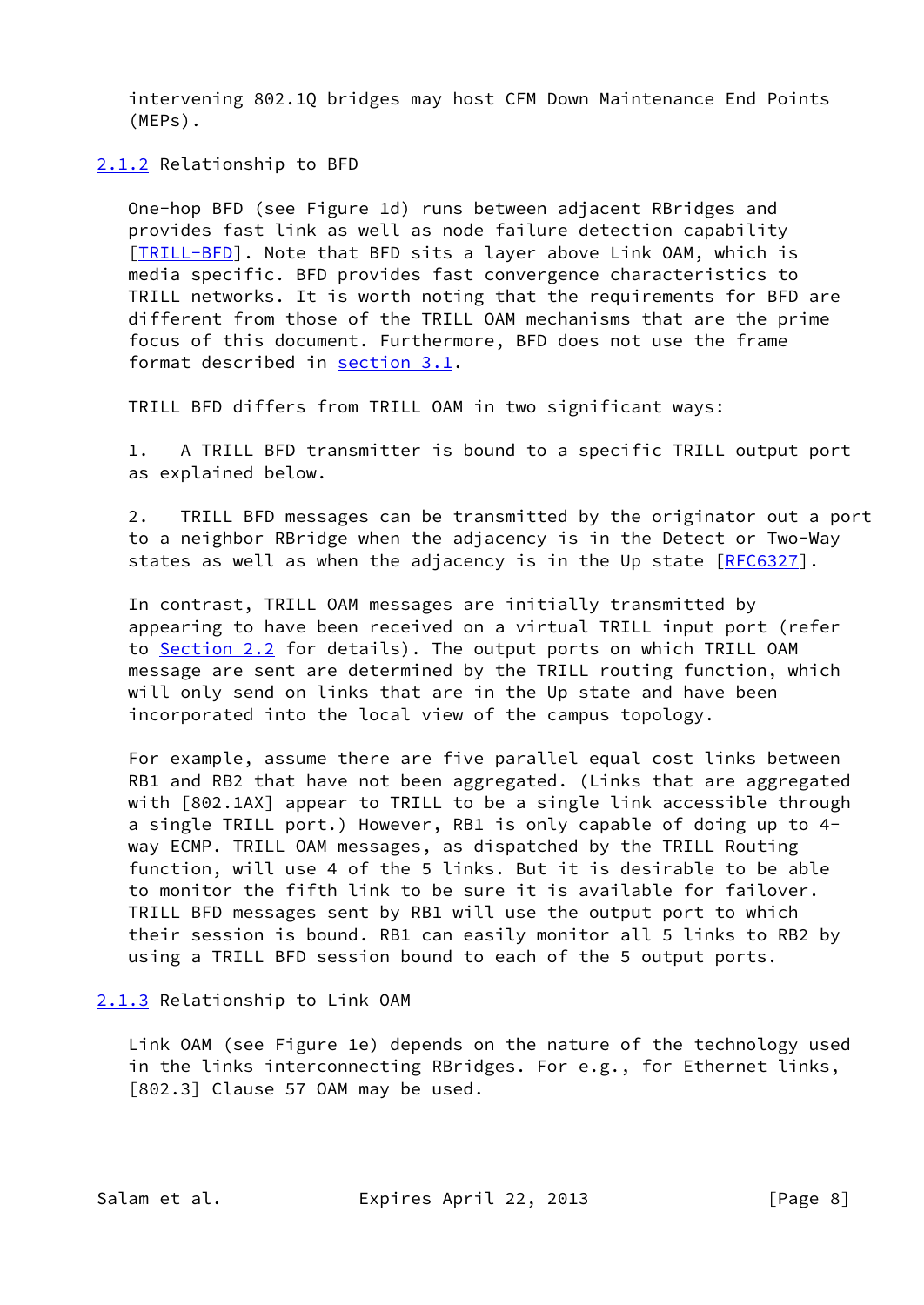intervening 802.1Q bridges may host CFM Down Maintenance End Points (MEPs).

<span id="page-8-0"></span>[2.1.2](#page-8-0) Relationship to BFD

 One-hop BFD (see Figure 1d) runs between adjacent RBridges and provides fast link as well as node failure detection capability [\[TRILL-BFD](#page-5-5)]. Note that BFD sits a layer above Link OAM, which is media specific. BFD provides fast convergence characteristics to TRILL networks. It is worth noting that the requirements for BFD are different from those of the TRILL OAM mechanisms that are the prime focus of this document. Furthermore, BFD does not use the frame format described in [section 3.1.](#page-15-1)

TRILL BFD differs from TRILL OAM in two significant ways:

 1. A TRILL BFD transmitter is bound to a specific TRILL output port as explained below.

 2. TRILL BFD messages can be transmitted by the originator out a port to a neighbor RBridge when the adjacency is in the Detect or Two-Way states as well as when the adjacency is in the Up state [\[RFC6327](https://datatracker.ietf.org/doc/pdf/rfc6327)].

 In contrast, TRILL OAM messages are initially transmitted by appearing to have been received on a virtual TRILL input port (refer to [Section 2.2](#page-9-0) for details). The output ports on which TRILL OAM message are sent are determined by the TRILL routing function, which will only send on links that are in the Up state and have been incorporated into the local view of the campus topology.

 For example, assume there are five parallel equal cost links between RB1 and RB2 that have not been aggregated. (Links that are aggregated with [802.1AX] appear to TRILL to be a single link accessible through a single TRILL port.) However, RB1 is only capable of doing up to 4 way ECMP. TRILL OAM messages, as dispatched by the TRILL Routing function, will use 4 of the 5 links. But it is desirable to be able to monitor the fifth link to be sure it is available for failover. TRILL BFD messages sent by RB1 will use the output port to which their session is bound. RB1 can easily monitor all 5 links to RB2 by using a TRILL BFD session bound to each of the 5 output ports.

<span id="page-8-1"></span>[2.1.3](#page-8-1) Relationship to Link OAM

 Link OAM (see Figure 1e) depends on the nature of the technology used in the links interconnecting RBridges. For e.g., for Ethernet links, [802.3] Clause 57 OAM may be used.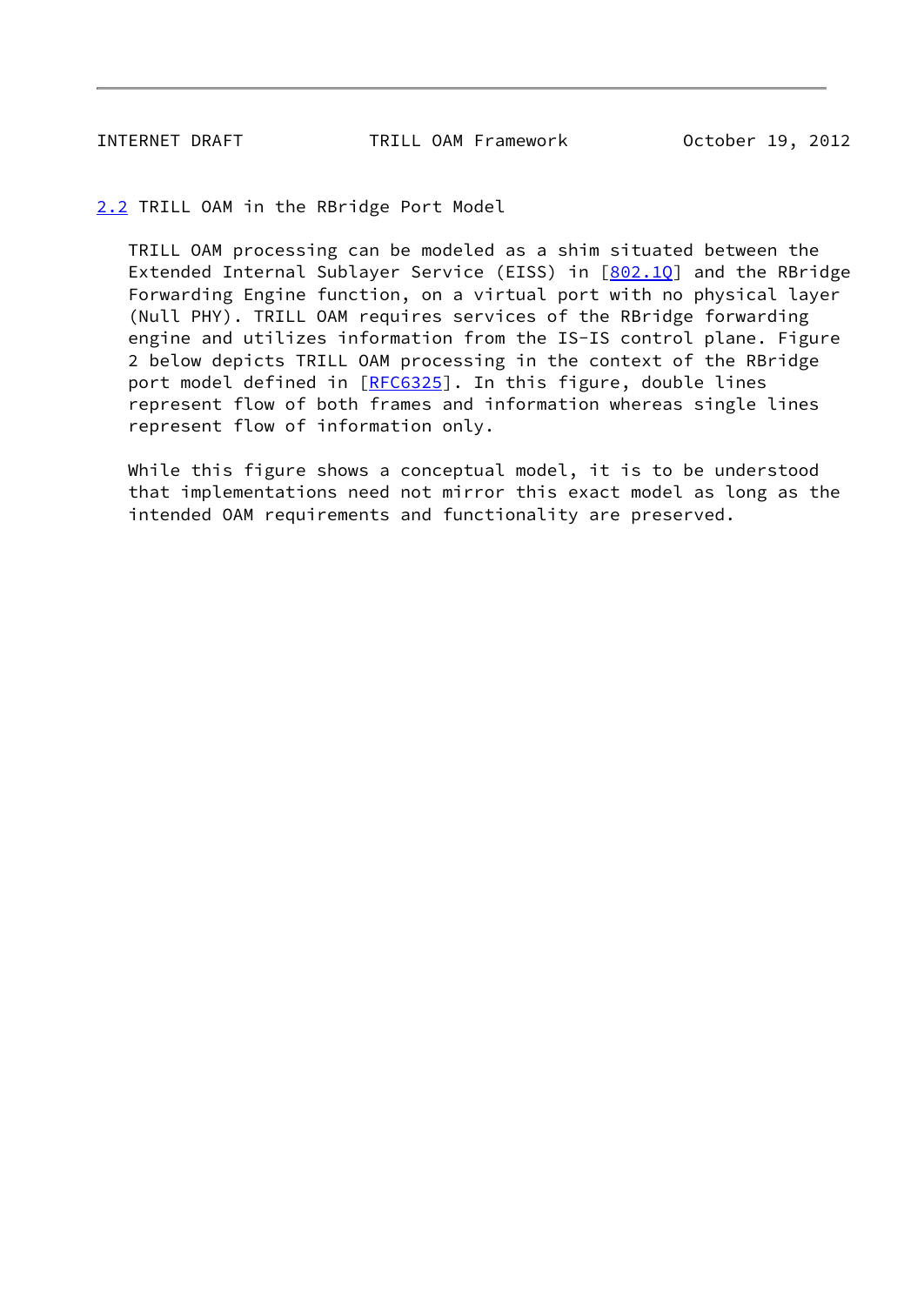<span id="page-9-1"></span>INTERNET DRAFT TRILL OAM Framework October 19, 2012

<span id="page-9-0"></span>[2.2](#page-9-0) TRILL OAM in the RBridge Port Model

 TRILL OAM processing can be modeled as a shim situated between the Extended Internal Sublayer Service (EISS) in [802.10] and the RBridge Forwarding Engine function, on a virtual port with no physical layer (Null PHY). TRILL OAM requires services of the RBridge forwarding engine and utilizes information from the IS-IS control plane. Figure 2 below depicts TRILL OAM processing in the context of the RBridge port model defined in [[RFC6325](https://datatracker.ietf.org/doc/pdf/rfc6325)]. In this figure, double lines represent flow of both frames and information whereas single lines represent flow of information only.

 While this figure shows a conceptual model, it is to be understood that implementations need not mirror this exact model as long as the intended OAM requirements and functionality are preserved.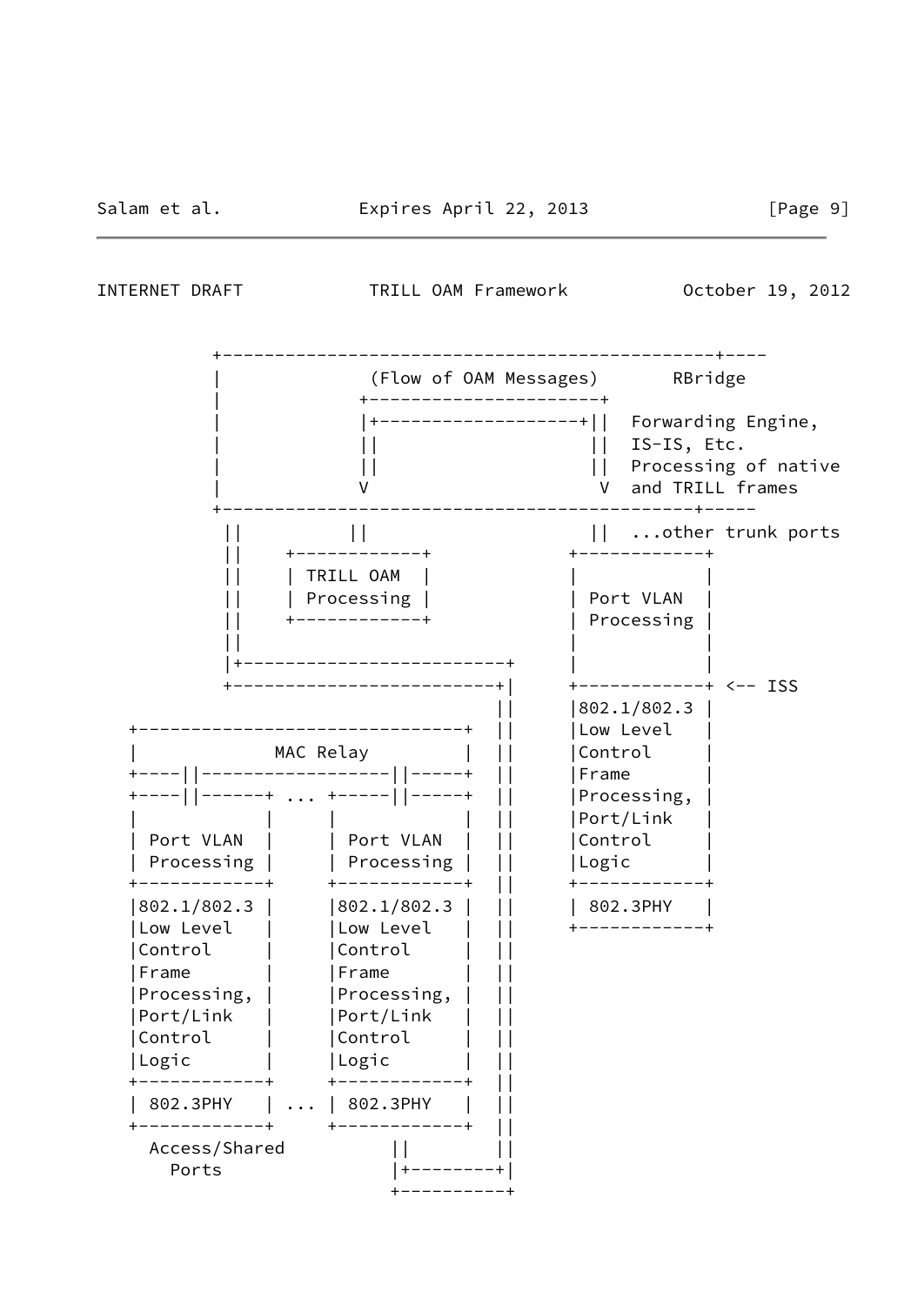<span id="page-10-0"></span>INTERNET DRAFT TRILL OAM Framework October 19, 2012

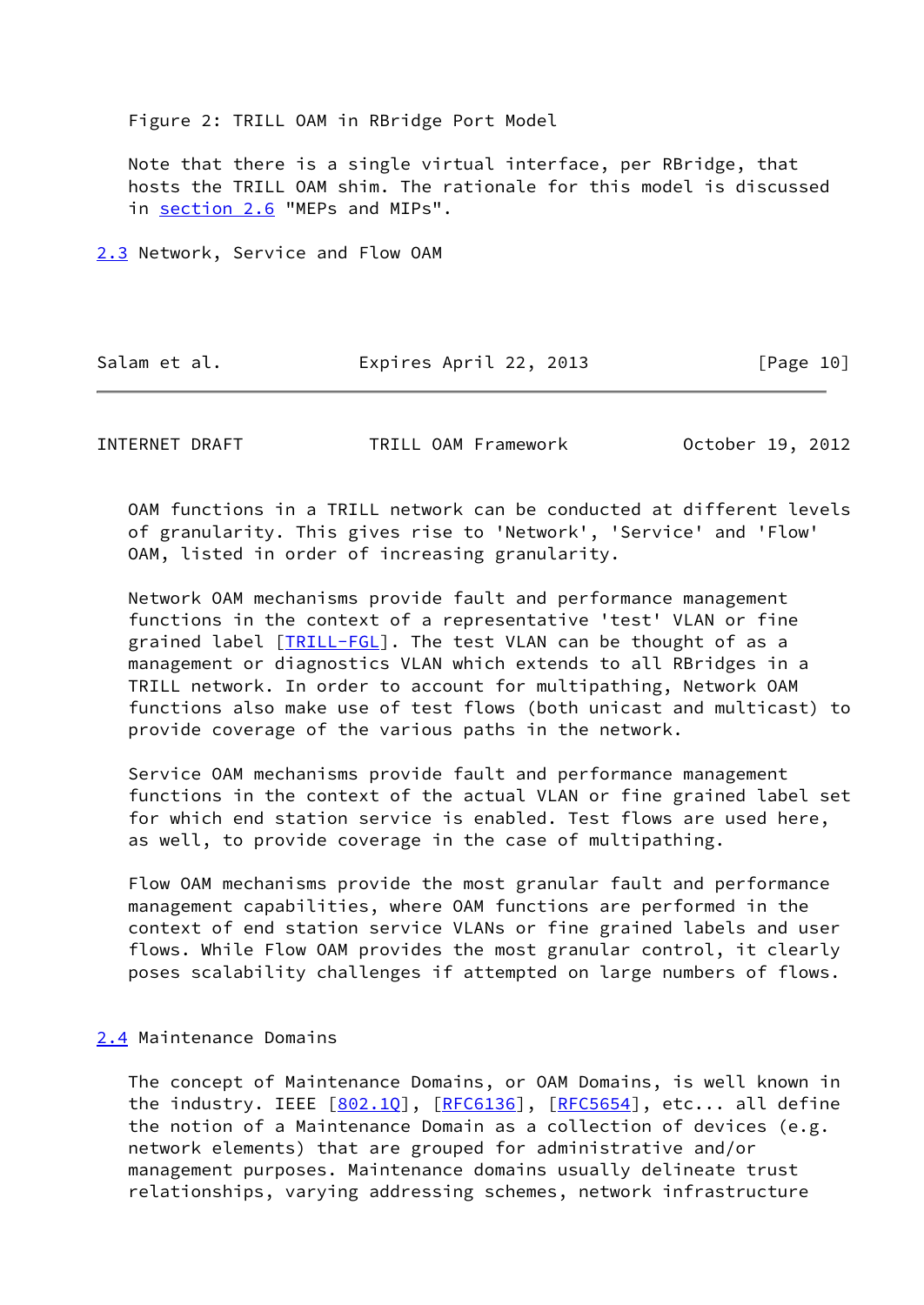Figure 2: TRILL OAM in RBridge Port Model

 Note that there is a single virtual interface, per RBridge, that hosts the TRILL OAM shim. The rationale for this model is discussed in [section 2.6](#page-13-0) "MEPs and MIPs".

<span id="page-11-0"></span>[2.3](#page-11-0) Network, Service and Flow OAM

Salam et al. **Expires April 22, 2013** [Page 10]

<span id="page-11-2"></span>INTERNET DRAFT TRILL OAM Framework October 19, 2012

 OAM functions in a TRILL network can be conducted at different levels of granularity. This gives rise to 'Network', 'Service' and 'Flow' OAM, listed in order of increasing granularity.

 Network OAM mechanisms provide fault and performance management functions in the context of a representative 'test' VLAN or fine grained label [[TRILL-FGL\]](#page-25-2). The test VLAN can be thought of as a management or diagnostics VLAN which extends to all RBridges in a TRILL network. In order to account for multipathing, Network OAM functions also make use of test flows (both unicast and multicast) to provide coverage of the various paths in the network.

 Service OAM mechanisms provide fault and performance management functions in the context of the actual VLAN or fine grained label set for which end station service is enabled. Test flows are used here, as well, to provide coverage in the case of multipathing.

 Flow OAM mechanisms provide the most granular fault and performance management capabilities, where OAM functions are performed in the context of end station service VLANs or fine grained labels and user flows. While Flow OAM provides the most granular control, it clearly poses scalability challenges if attempted on large numbers of flows.

## <span id="page-11-1"></span>[2.4](#page-11-1) Maintenance Domains

 The concept of Maintenance Domains, or OAM Domains, is well known in the industry. IEEE  $[802.10]$ ,  $[REC6136]$ ,  $[REC5654]$ , etc... all define the notion of a Maintenance Domain as a collection of devices (e.g. network elements) that are grouped for administrative and/or management purposes. Maintenance domains usually delineate trust relationships, varying addressing schemes, network infrastructure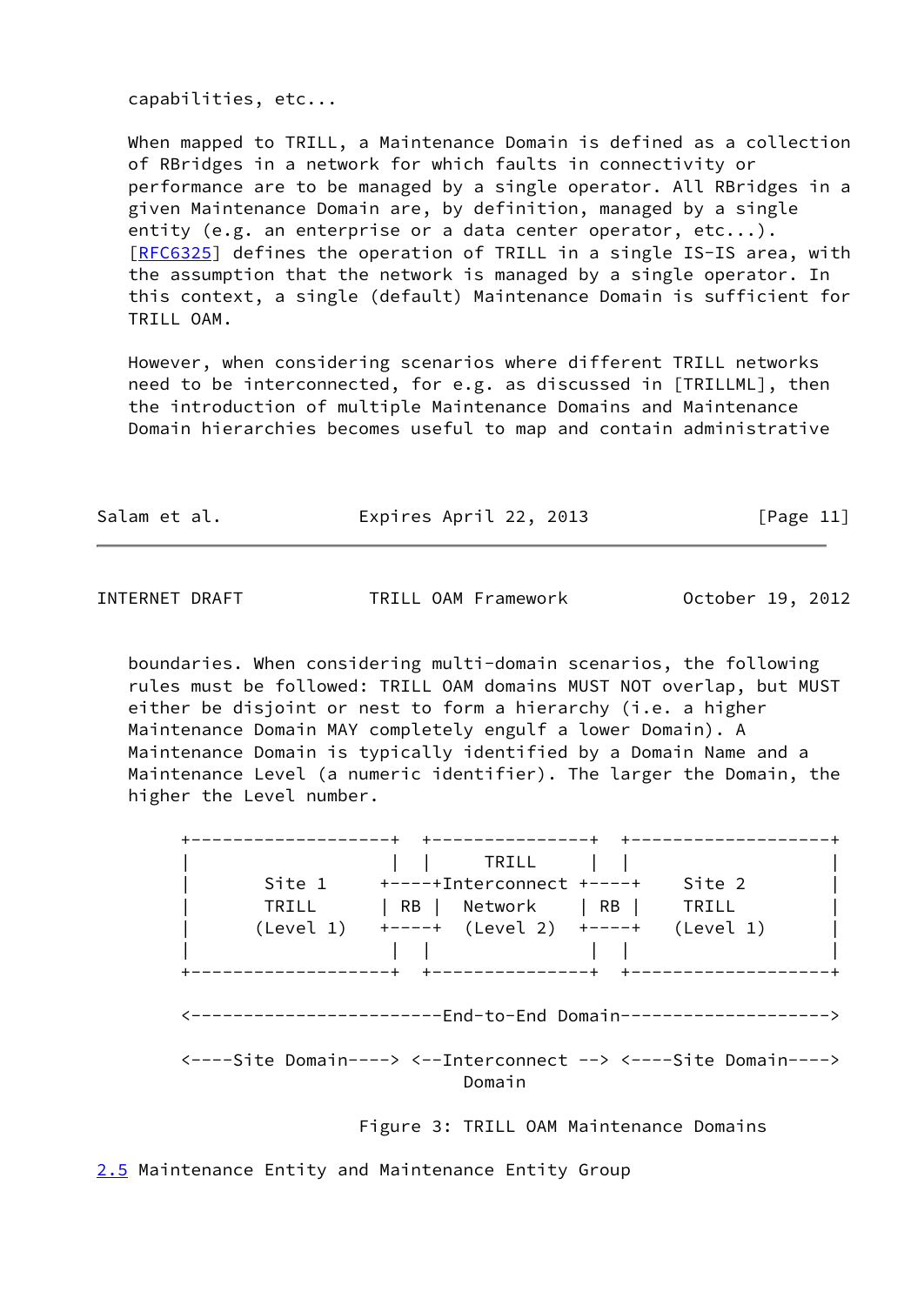capabilities, etc...

 When mapped to TRILL, a Maintenance Domain is defined as a collection of RBridges in a network for which faults in connectivity or performance are to be managed by a single operator. All RBridges in a given Maintenance Domain are, by definition, managed by a single entity (e.g. an enterprise or a data center operator, etc...). [\[RFC6325](https://datatracker.ietf.org/doc/pdf/rfc6325)] defines the operation of TRILL in a single IS-IS area, with the assumption that the network is managed by a single operator. In this context, a single (default) Maintenance Domain is sufficient for TRILL OAM.

 However, when considering scenarios where different TRILL networks need to be interconnected, for e.g. as discussed in [TRILLML], then the introduction of multiple Maintenance Domains and Maintenance Domain hierarchies becomes useful to map and contain administrative

| Salam et al. |  | Expires April 22, 2013 | [Page 11] |
|--------------|--|------------------------|-----------|
|--------------|--|------------------------|-----------|

<span id="page-12-1"></span>INTERNET DRAFT TRILL OAM Framework October 19, 2012

 boundaries. When considering multi-domain scenarios, the following rules must be followed: TRILL OAM domains MUST NOT overlap, but MUST either be disjoint or nest to form a hierarchy (i.e. a higher Maintenance Domain MAY completely engulf a lower Domain). A Maintenance Domain is typically identified by a Domain Name and a Maintenance Level (a numeric identifier). The larger the Domain, the higher the Level number.

| TRILL | TRILL<br>Site $1$ +----+Interconnect +----+<br>Site 2<br>  RB   Network   RB   TRILL<br>$(Level 1)$ +----+ $(Level 2)$ +----+<br>(Level 1) |
|-------|--------------------------------------------------------------------------------------------------------------------------------------------|
|       | +---------------+<br>+-------------------+<br>--------------------End-to-End Domain------------------>                                     |

Domain

Figure 3: TRILL OAM Maintenance Domains

<span id="page-12-0"></span>[2.5](#page-12-0) Maintenance Entity and Maintenance Entity Group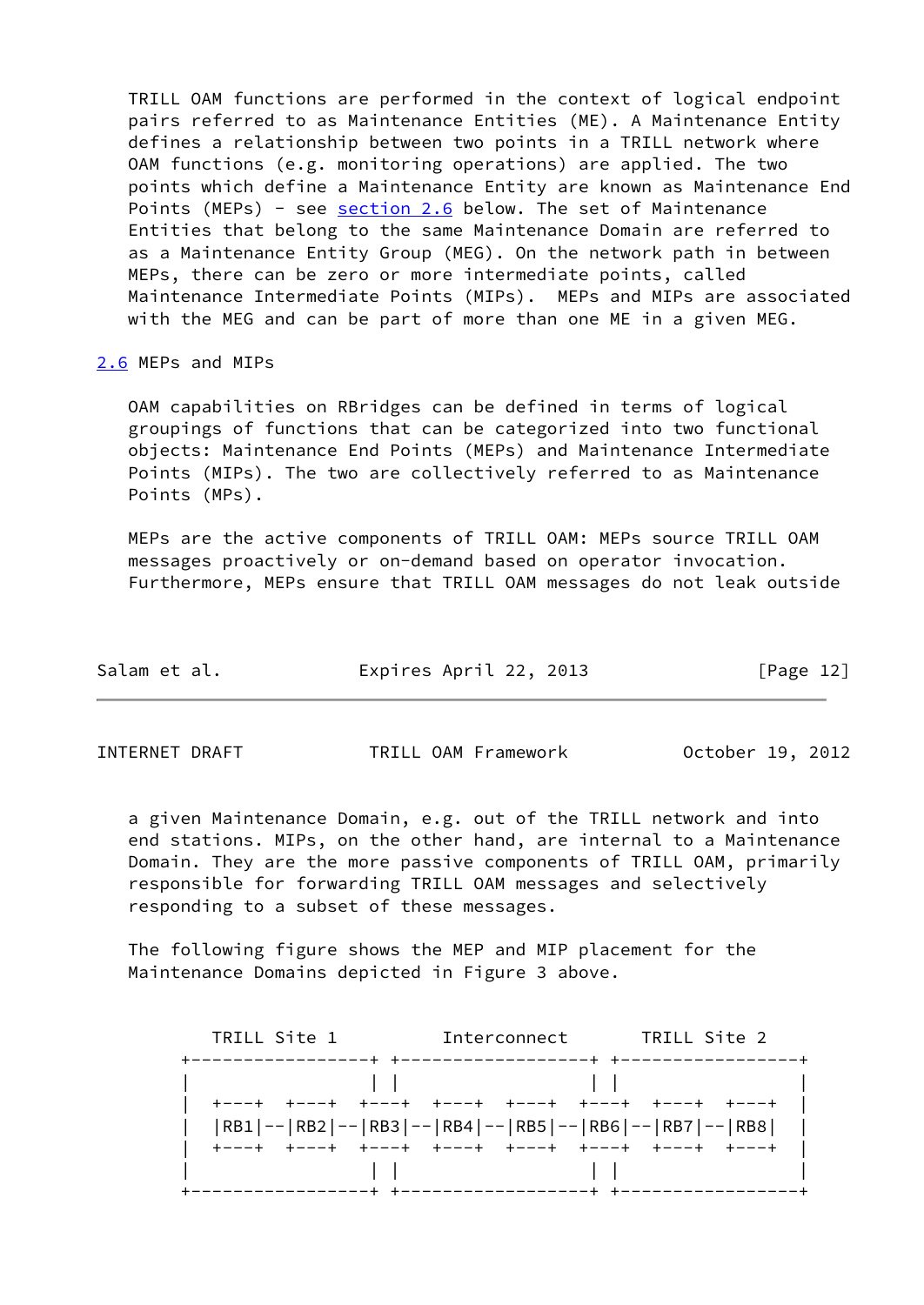TRILL OAM functions are performed in the context of logical endpoint pairs referred to as Maintenance Entities (ME). A Maintenance Entity defines a relationship between two points in a TRILL network where OAM functions (e.g. monitoring operations) are applied. The two points which define a Maintenance Entity are known as Maintenance End Points (MEPs) - see [section 2.6](#page-13-0) below. The set of Maintenance Entities that belong to the same Maintenance Domain are referred to as a Maintenance Entity Group (MEG). On the network path in between MEPs, there can be zero or more intermediate points, called Maintenance Intermediate Points (MIPs). MEPs and MIPs are associated with the MEG and can be part of more than one ME in a given MEG.

### <span id="page-13-0"></span>[2.6](#page-13-0) MEPs and MIPs

 OAM capabilities on RBridges can be defined in terms of logical groupings of functions that can be categorized into two functional objects: Maintenance End Points (MEPs) and Maintenance Intermediate Points (MIPs). The two are collectively referred to as Maintenance Points (MPs).

 MEPs are the active components of TRILL OAM: MEPs source TRILL OAM messages proactively or on-demand based on operator invocation. Furthermore, MEPs ensure that TRILL OAM messages do not leak outside

| Salam et al. | Expires April 22, 2013 | [Page 12] |
|--------------|------------------------|-----------|
|              |                        |           |

INTERNET DRAFT TRILL OAM Framework October 19, 2012

 a given Maintenance Domain, e.g. out of the TRILL network and into end stations. MIPs, on the other hand, are internal to a Maintenance Domain. They are the more passive components of TRILL OAM, primarily responsible for forwarding TRILL OAM messages and selectively responding to a subset of these messages.

 The following figure shows the MEP and MIP placement for the Maintenance Domains depicted in Figure 3 above.

| TRILL Site 1                                    | Interconnect | TRILL Site 2                                         |
|-------------------------------------------------|--------------|------------------------------------------------------|
|                                                 |              |                                                      |
|                                                 |              | +---+ +---+ +---+ +---+ +---+ +---+ +---+ +---+      |
|                                                 |              | RB1 -- RB2 -- RB3 -- RB4 -- RB5 -- RB6 -- RB7 -- RB8 |
| ----+ +---+ +---+ +---+ +---+ +---+ +---+ +---+ |              |                                                      |
|                                                 |              |                                                      |
|                                                 |              |                                                      |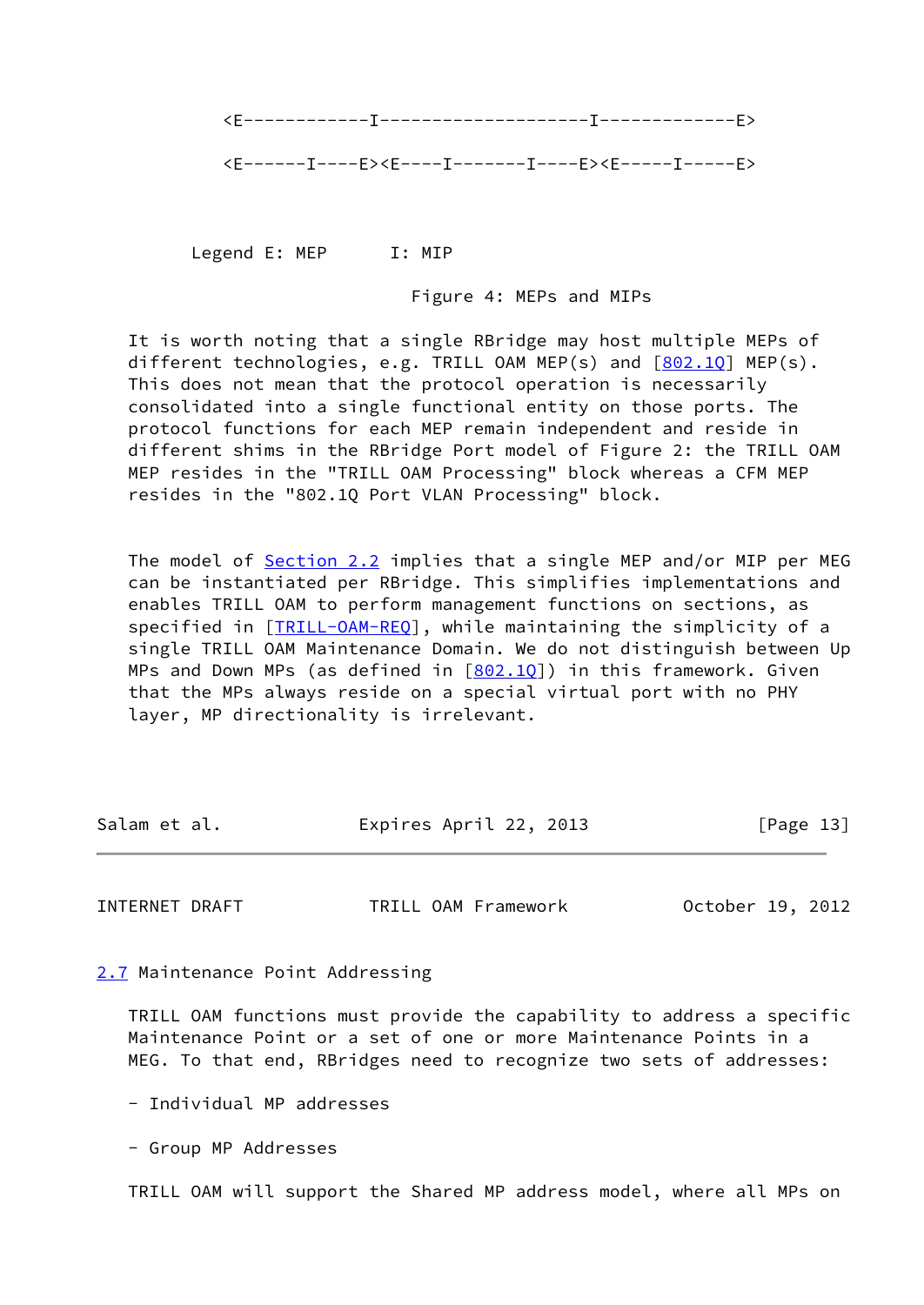

Legend E: MEP I: MIP

Figure 4: MEPs and MIPs

 It is worth noting that a single RBridge may host multiple MEPs of different technologies, e.g. TRILL OAM MEP(s) and [[802.1Q](#page-5-4)] MEP(s). This does not mean that the protocol operation is necessarily consolidated into a single functional entity on those ports. The protocol functions for each MEP remain independent and reside in different shims in the RBridge Port model of Figure 2: the TRILL OAM MEP resides in the "TRILL OAM Processing" block whereas a CFM MEP resides in the "802.1Q Port VLAN Processing" block.

The model of [Section 2.2](#page-9-0) implies that a single MEP and/or MIP per MEG can be instantiated per RBridge. This simplifies implementations and enables TRILL OAM to perform management functions on sections, as specified in [\[TRILL-OAM-REQ\]](#page-5-3), while maintaining the simplicity of a single TRILL OAM Maintenance Domain. We do not distinguish between Up MPs and Down MPs (as defined in  $[802.10]$ ) in this framework. Given that the MPs always reside on a special virtual port with no PHY layer, MP directionality is irrelevant.

| Salam et al. | Expires April 22, 2013 | [Page 13] |
|--------------|------------------------|-----------|
|              |                        |           |

<span id="page-14-1"></span>INTERNET DRAFT TRILL OAM Framework October 19, 2012

<span id="page-14-0"></span>[2.7](#page-14-0) Maintenance Point Addressing

 TRILL OAM functions must provide the capability to address a specific Maintenance Point or a set of one or more Maintenance Points in a MEG. To that end, RBridges need to recognize two sets of addresses:

- Individual MP addresses

- Group MP Addresses

TRILL OAM will support the Shared MP address model, where all MPs on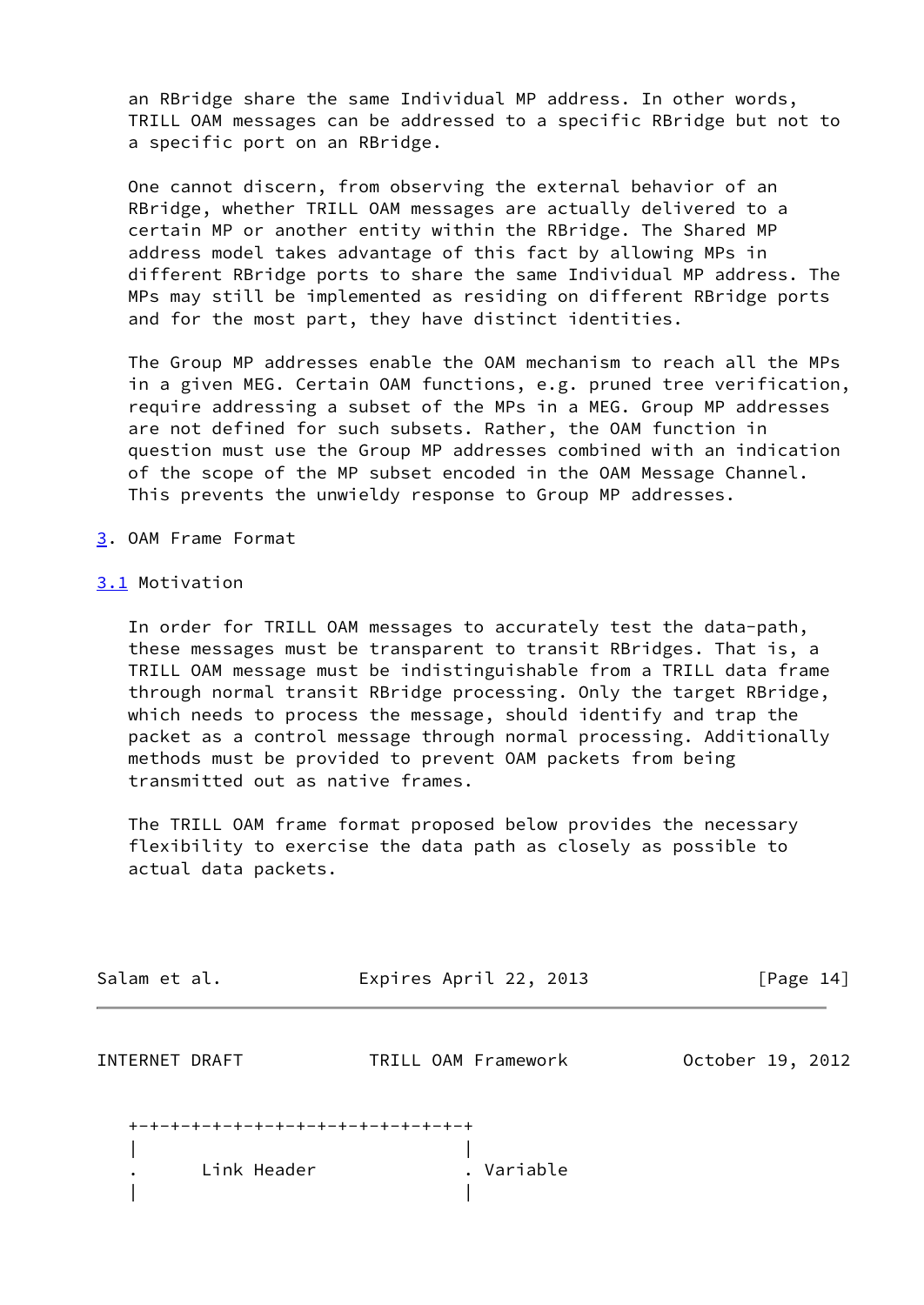an RBridge share the same Individual MP address. In other words, TRILL OAM messages can be addressed to a specific RBridge but not to a specific port on an RBridge.

 One cannot discern, from observing the external behavior of an RBridge, whether TRILL OAM messages are actually delivered to a certain MP or another entity within the RBridge. The Shared MP address model takes advantage of this fact by allowing MPs in different RBridge ports to share the same Individual MP address. The MPs may still be implemented as residing on different RBridge ports and for the most part, they have distinct identities.

 The Group MP addresses enable the OAM mechanism to reach all the MPs in a given MEG. Certain OAM functions, e.g. pruned tree verification, require addressing a subset of the MPs in a MEG. Group MP addresses are not defined for such subsets. Rather, the OAM function in question must use the Group MP addresses combined with an indication of the scope of the MP subset encoded in the OAM Message Channel. This prevents the unwieldy response to Group MP addresses.

- <span id="page-15-0"></span>[3](#page-15-0). OAM Frame Format
- <span id="page-15-1"></span>[3.1](#page-15-1) Motivation

 In order for TRILL OAM messages to accurately test the data-path, these messages must be transparent to transit RBridges. That is, a TRILL OAM message must be indistinguishable from a TRILL data frame through normal transit RBridge processing. Only the target RBridge, which needs to process the message, should identify and trap the packet as a control message through normal processing. Additionally methods must be provided to prevent OAM packets from being transmitted out as native frames.

 The TRILL OAM frame format proposed below provides the necessary flexibility to exercise the data path as closely as possible to actual data packets.

| Expires April 22, 2013              | [Page $14$ ]              |
|-------------------------------------|---------------------------|
| TRILL OAM Framework                 | October 19, 2012          |
| +-+-+-+-+-+-+-+-+-+-+-+-+-+-+-+-+-+ |                           |
|                                     | Link Header<br>. Variable |

| |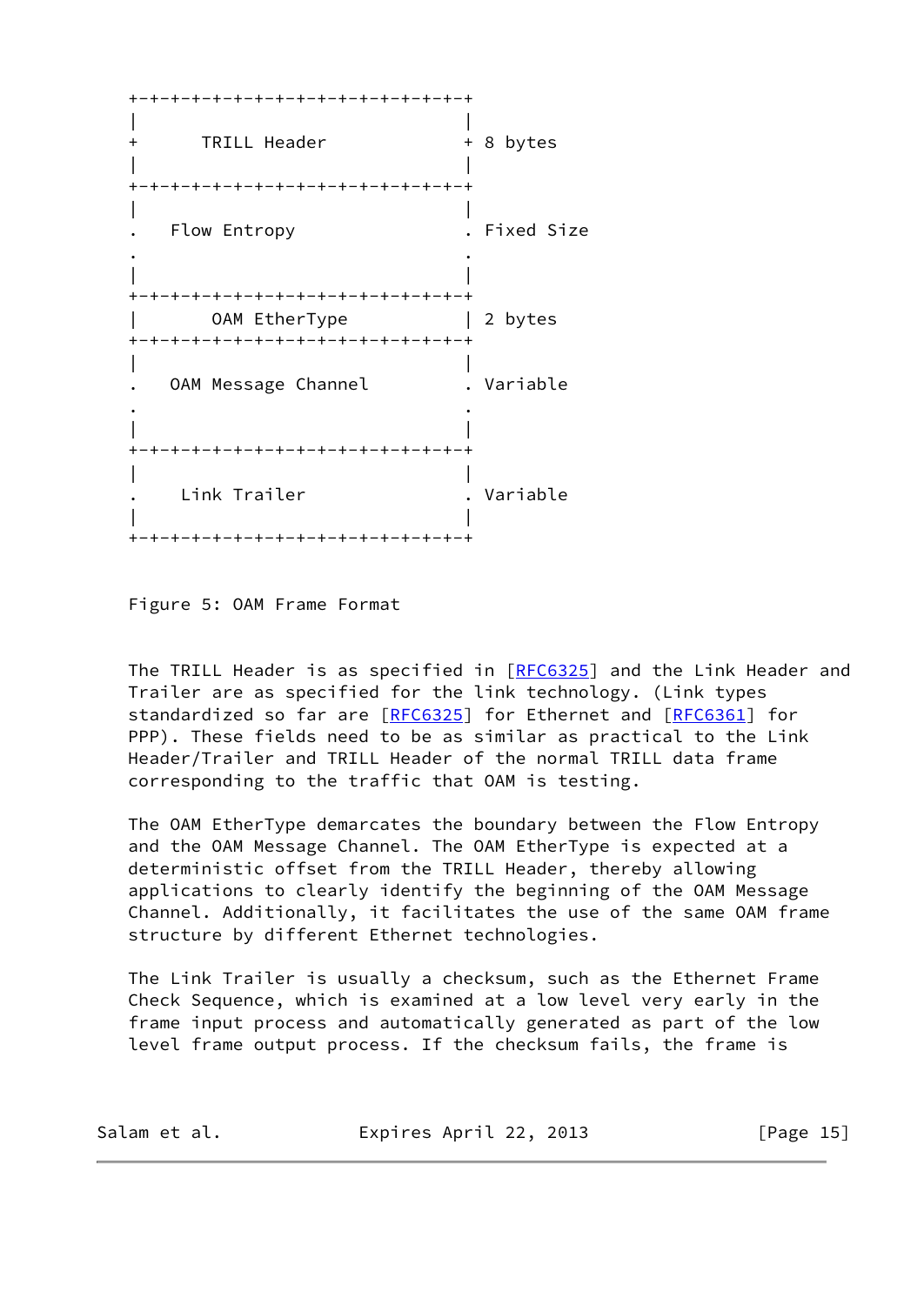+-+-+-+-+-+-+-+-+-+-+-+-+-+-+-+-+ | | + TRILL Header + 8 bytes | | +-+-+-+-+-+-+-+-+-+-+-+-+-+-+-+-+ | | . Flow Entropy . Fixed Size . . | | +-+-+-+-+-+-+-+-+-+-+-+-+-+-+-+-+ | OAM EtherType | 2 bytes +-+-+-+-+-+-+-+-+-+-+-+-+-+-+-+-+ | | . OAM Message Channel . Variable . . | | +-+-+-+-+-+-+-+-+-+-+-+-+-+-+-+-+ | | . Link Trailer . Variable | | +-+-+-+-+-+-+-+-+-+-+-+-+-+-+-+-+

Figure 5: OAM Frame Format

The TRILL Header is as specified in [\[RFC6325](https://datatracker.ietf.org/doc/pdf/rfc6325)] and the Link Header and Trailer are as specified for the link technology. (Link types standardized so far are [\[RFC6325](https://datatracker.ietf.org/doc/pdf/rfc6325)] for Ethernet and [[RFC6361\]](https://datatracker.ietf.org/doc/pdf/rfc6361) for PPP). These fields need to be as similar as practical to the Link Header/Trailer and TRILL Header of the normal TRILL data frame corresponding to the traffic that OAM is testing.

 The OAM EtherType demarcates the boundary between the Flow Entropy and the OAM Message Channel. The OAM EtherType is expected at a deterministic offset from the TRILL Header, thereby allowing applications to clearly identify the beginning of the OAM Message Channel. Additionally, it facilitates the use of the same OAM frame structure by different Ethernet technologies.

 The Link Trailer is usually a checksum, such as the Ethernet Frame Check Sequence, which is examined at a low level very early in the frame input process and automatically generated as part of the low level frame output process. If the checksum fails, the frame is

| Expires April 22, 2013<br>Salam et al. | [Page 15] |
|----------------------------------------|-----------|
|----------------------------------------|-----------|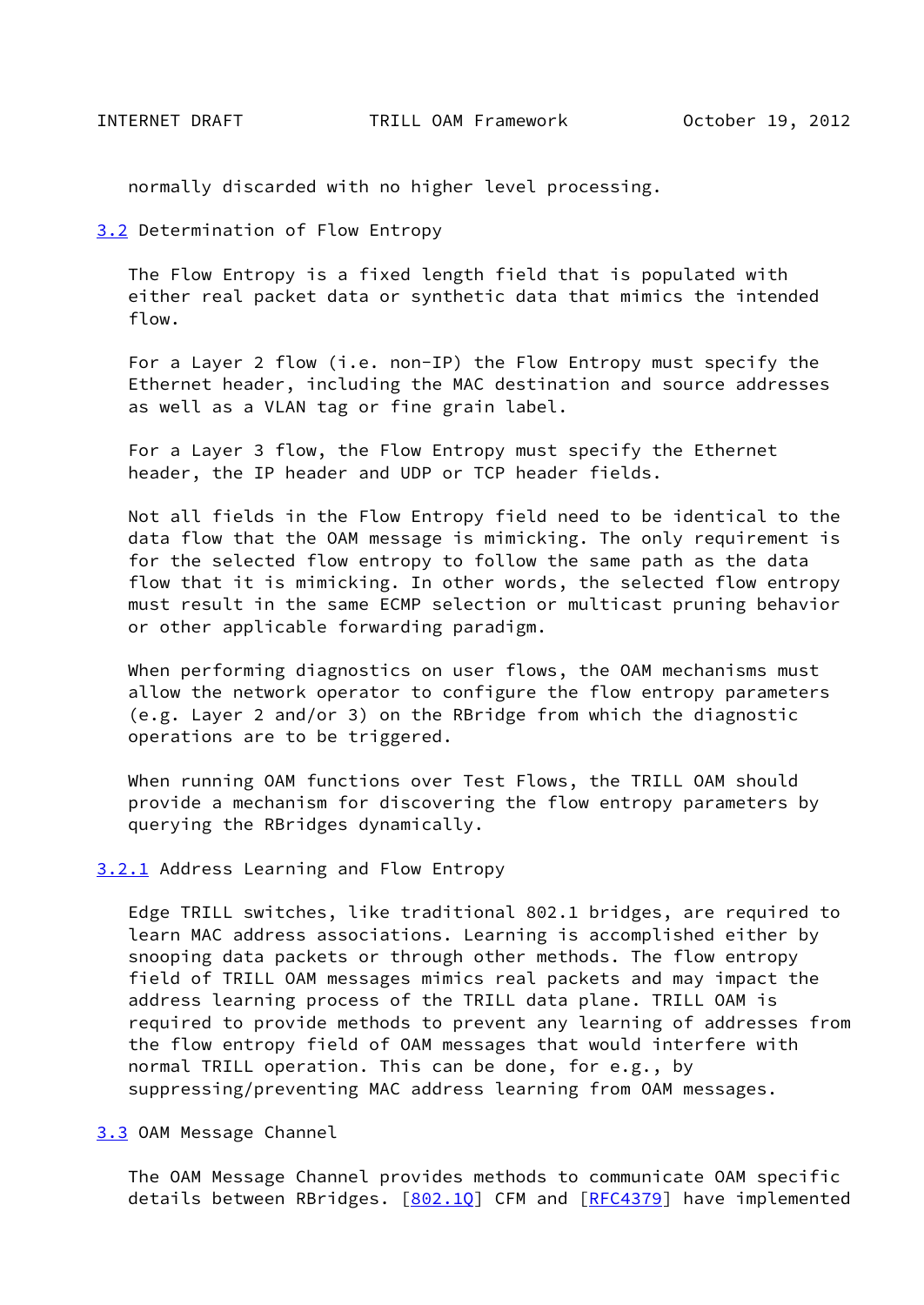<span id="page-17-1"></span>normally discarded with no higher level processing.

<span id="page-17-0"></span>[3.2](#page-17-0) Determination of Flow Entropy

 The Flow Entropy is a fixed length field that is populated with either real packet data or synthetic data that mimics the intended flow.

 For a Layer 2 flow (i.e. non-IP) the Flow Entropy must specify the Ethernet header, including the MAC destination and source addresses as well as a VLAN tag or fine grain label.

 For a Layer 3 flow, the Flow Entropy must specify the Ethernet header, the IP header and UDP or TCP header fields.

 Not all fields in the Flow Entropy field need to be identical to the data flow that the OAM message is mimicking. The only requirement is for the selected flow entropy to follow the same path as the data flow that it is mimicking. In other words, the selected flow entropy must result in the same ECMP selection or multicast pruning behavior or other applicable forwarding paradigm.

 When performing diagnostics on user flows, the OAM mechanisms must allow the network operator to configure the flow entropy parameters (e.g. Layer 2 and/or 3) on the RBridge from which the diagnostic operations are to be triggered.

 When running OAM functions over Test Flows, the TRILL OAM should provide a mechanism for discovering the flow entropy parameters by querying the RBridges dynamically.

<span id="page-17-2"></span>[3.2.1](#page-17-2) Address Learning and Flow Entropy

 Edge TRILL switches, like traditional 802.1 bridges, are required to learn MAC address associations. Learning is accomplished either by snooping data packets or through other methods. The flow entropy field of TRILL OAM messages mimics real packets and may impact the address learning process of the TRILL data plane. TRILL OAM is required to provide methods to prevent any learning of addresses from the flow entropy field of OAM messages that would interfere with normal TRILL operation. This can be done, for e.g., by suppressing/preventing MAC address learning from OAM messages.

<span id="page-17-3"></span>[3.3](#page-17-3) OAM Message Channel

 The OAM Message Channel provides methods to communicate OAM specific details between RBridges. [802.10] CFM and [[RFC4379\]](https://datatracker.ietf.org/doc/pdf/rfc4379) have implemented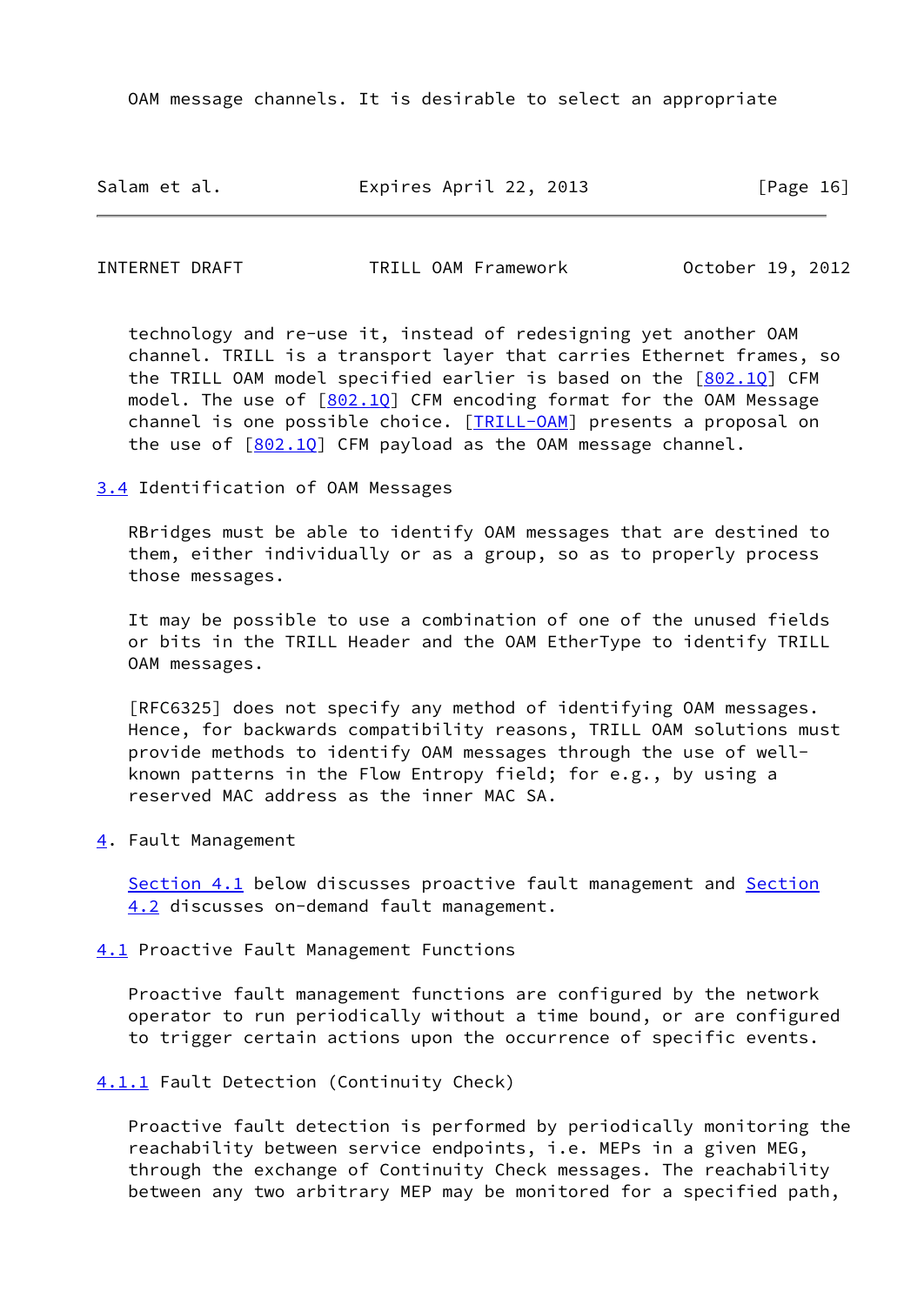OAM message channels. It is desirable to select an appropriate

Salam et al. Expires April 22, 2013 [Page 16]

<span id="page-18-1"></span>INTERNET DRAFT TRILL OAM Framework October 19, 2012

 technology and re-use it, instead of redesigning yet another OAM channel. TRILL is a transport layer that carries Ethernet frames, so the TRILL OAM model specified earlier is based on the [[802.1Q](#page-5-4)] CFM model. The use of  $[802.10]$  CFM encoding format for the OAM Message channel is one possible choice. [\[TRILL-OAM](#page-25-3)] presents a proposal on the use of  $[802.10]$  CFM payload as the OAM message channel.

<span id="page-18-0"></span>[3.4](#page-18-0) Identification of OAM Messages

 RBridges must be able to identify OAM messages that are destined to them, either individually or as a group, so as to properly process those messages.

 It may be possible to use a combination of one of the unused fields or bits in the TRILL Header and the OAM EtherType to identify TRILL OAM messages.

 [RFC6325] does not specify any method of identifying OAM messages. Hence, for backwards compatibility reasons, TRILL OAM solutions must provide methods to identify OAM messages through the use of well known patterns in the Flow Entropy field; for e.g., by using a reserved MAC address as the inner MAC SA.

<span id="page-18-2"></span>[4](#page-18-2). Fault Management

[Section 4.1](#page-18-3) below discusses proactive fault management and [Section](#page-20-1) [4.2](#page-20-1) discusses on-demand fault management.

<span id="page-18-3"></span>[4.1](#page-18-3) Proactive Fault Management Functions

 Proactive fault management functions are configured by the network operator to run periodically without a time bound, or are configured to trigger certain actions upon the occurrence of specific events.

<span id="page-18-4"></span>[4.1.1](#page-18-4) Fault Detection (Continuity Check)

 Proactive fault detection is performed by periodically monitoring the reachability between service endpoints, i.e. MEPs in a given MEG, through the exchange of Continuity Check messages. The reachability between any two arbitrary MEP may be monitored for a specified path,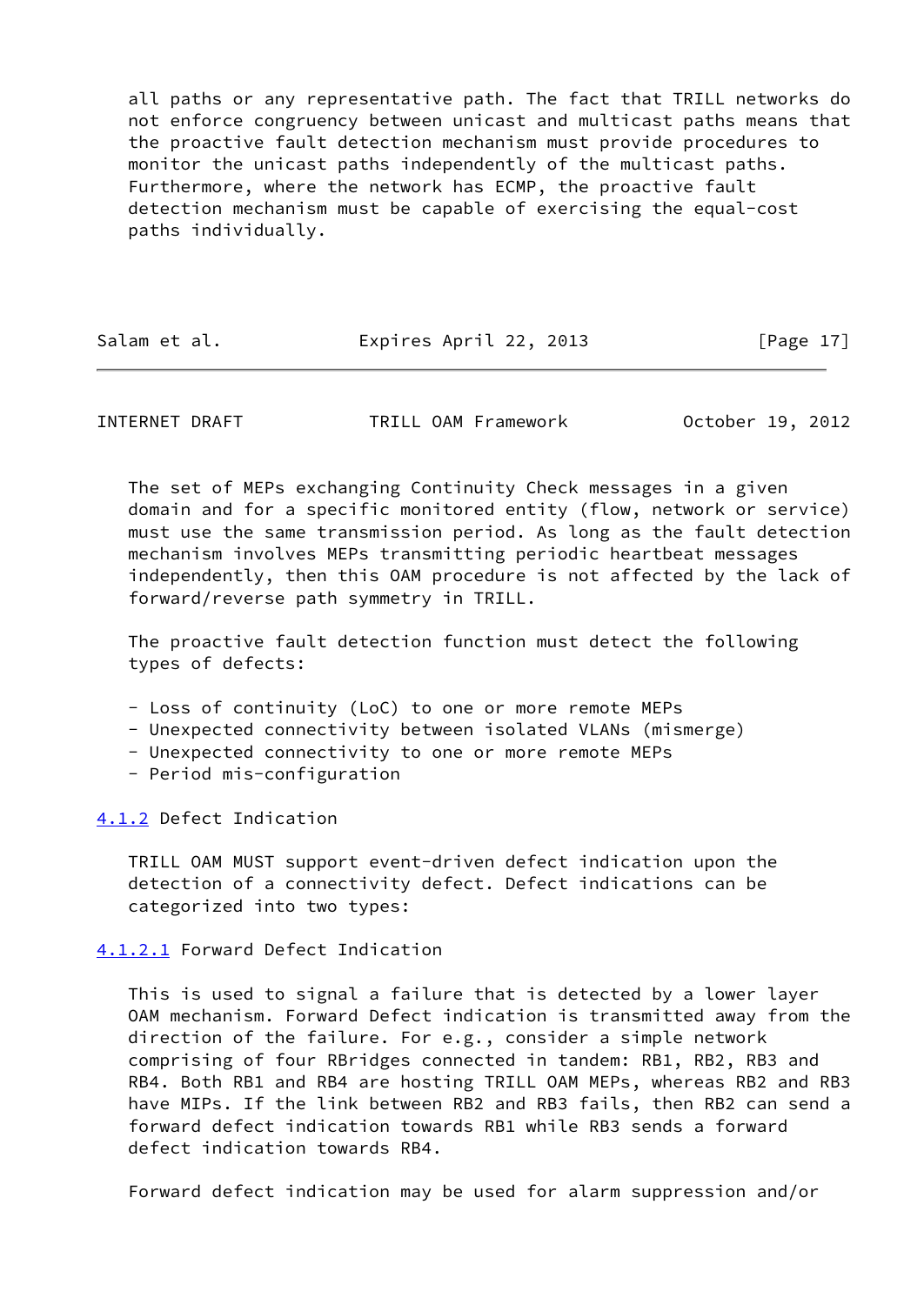all paths or any representative path. The fact that TRILL networks do not enforce congruency between unicast and multicast paths means that the proactive fault detection mechanism must provide procedures to monitor the unicast paths independently of the multicast paths. Furthermore, where the network has ECMP, the proactive fault detection mechanism must be capable of exercising the equal-cost paths individually.

| Salam et al. | Expires April 22, 2013 | [Page 17] |
|--------------|------------------------|-----------|
|              |                        |           |

<span id="page-19-1"></span>INTERNET DRAFT TRILL OAM Framework October 19, 2012

 The set of MEPs exchanging Continuity Check messages in a given domain and for a specific monitored entity (flow, network or service) must use the same transmission period. As long as the fault detection mechanism involves MEPs transmitting periodic heartbeat messages independently, then this OAM procedure is not affected by the lack of forward/reverse path symmetry in TRILL.

 The proactive fault detection function must detect the following types of defects:

- Loss of continuity (LoC) to one or more remote MEPs
- Unexpected connectivity between isolated VLANs (mismerge)
- Unexpected connectivity to one or more remote MEPs
- Period mis-configuration

<span id="page-19-0"></span>[4.1.2](#page-19-0) Defect Indication

 TRILL OAM MUST support event-driven defect indication upon the detection of a connectivity defect. Defect indications can be categorized into two types:

<span id="page-19-2"></span>[4.1.2.1](#page-19-2) Forward Defect Indication

 This is used to signal a failure that is detected by a lower layer OAM mechanism. Forward Defect indication is transmitted away from the direction of the failure. For e.g., consider a simple network comprising of four RBridges connected in tandem: RB1, RB2, RB3 and RB4. Both RB1 and RB4 are hosting TRILL OAM MEPs, whereas RB2 and RB3 have MIPs. If the link between RB2 and RB3 fails, then RB2 can send a forward defect indication towards RB1 while RB3 sends a forward defect indication towards RB4.

Forward defect indication may be used for alarm suppression and/or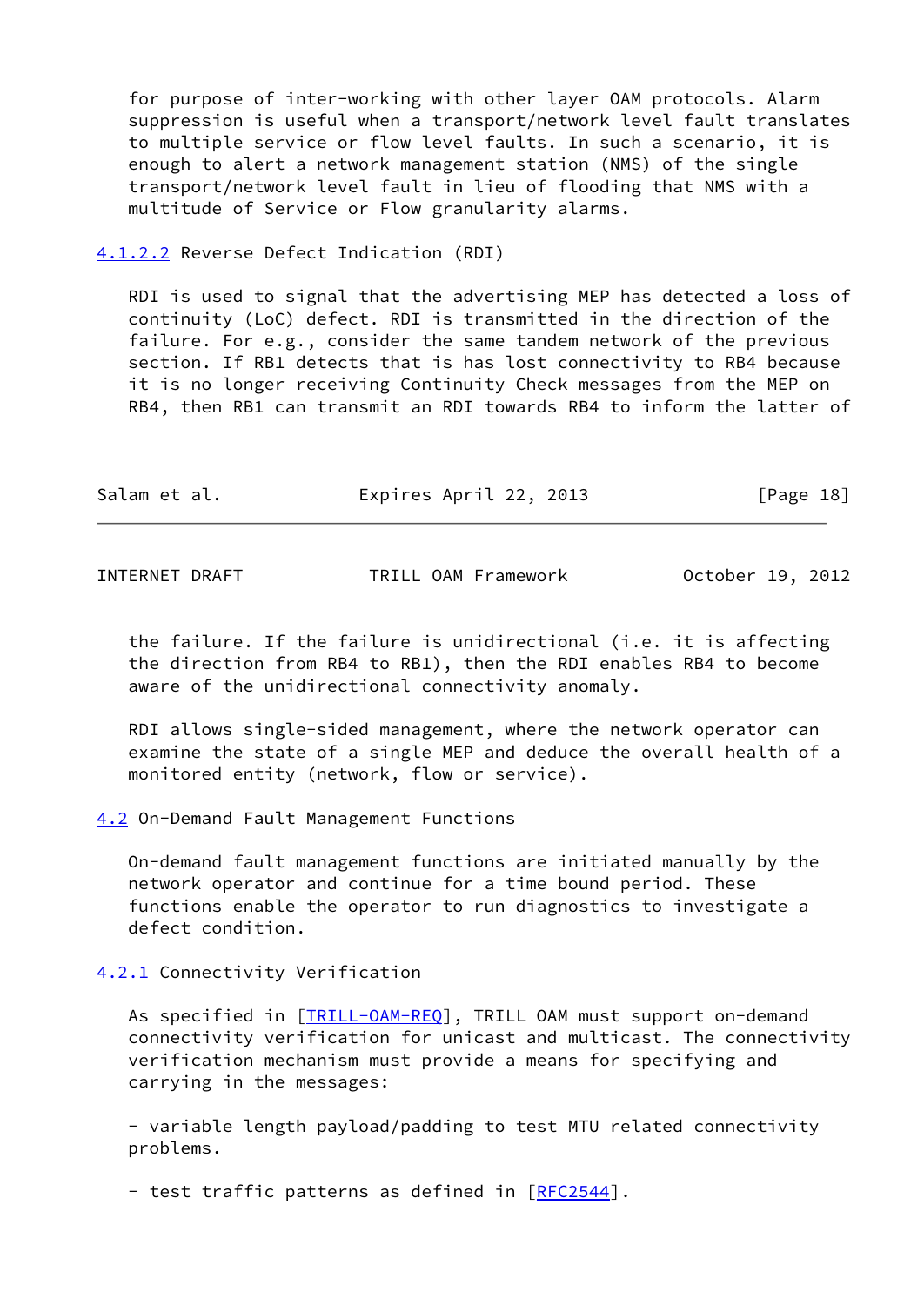for purpose of inter-working with other layer OAM protocols. Alarm suppression is useful when a transport/network level fault translates to multiple service or flow level faults. In such a scenario, it is enough to alert a network management station (NMS) of the single transport/network level fault in lieu of flooding that NMS with a multitude of Service or Flow granularity alarms.

<span id="page-20-0"></span>[4.1.2.2](#page-20-0) Reverse Defect Indication (RDI)

 RDI is used to signal that the advertising MEP has detected a loss of continuity (LoC) defect. RDI is transmitted in the direction of the failure. For e.g., consider the same tandem network of the previous section. If RB1 detects that is has lost connectivity to RB4 because it is no longer receiving Continuity Check messages from the MEP on RB4, then RB1 can transmit an RDI towards RB4 to inform the latter of

| Expires April 22, 2013<br>Salam et al. |  |  |  | [Page 18] |
|----------------------------------------|--|--|--|-----------|
|----------------------------------------|--|--|--|-----------|

<span id="page-20-2"></span>INTERNET DRAFT TRILL OAM Framework October 19, 2012

 the failure. If the failure is unidirectional (i.e. it is affecting the direction from RB4 to RB1), then the RDI enables RB4 to become aware of the unidirectional connectivity anomaly.

 RDI allows single-sided management, where the network operator can examine the state of a single MEP and deduce the overall health of a monitored entity (network, flow or service).

<span id="page-20-1"></span>[4.2](#page-20-1) On-Demand Fault Management Functions

 On-demand fault management functions are initiated manually by the network operator and continue for a time bound period. These functions enable the operator to run diagnostics to investigate a defect condition.

<span id="page-20-3"></span>[4.2.1](#page-20-3) Connectivity Verification

As specified in [\[TRILL-OAM-REQ](#page-5-3)], TRILL OAM must support on-demand connectivity verification for unicast and multicast. The connectivity verification mechanism must provide a means for specifying and carrying in the messages:

 - variable length payload/padding to test MTU related connectivity problems.

- test traffic patterns as defined in [[RFC2544](https://datatracker.ietf.org/doc/pdf/rfc2544)].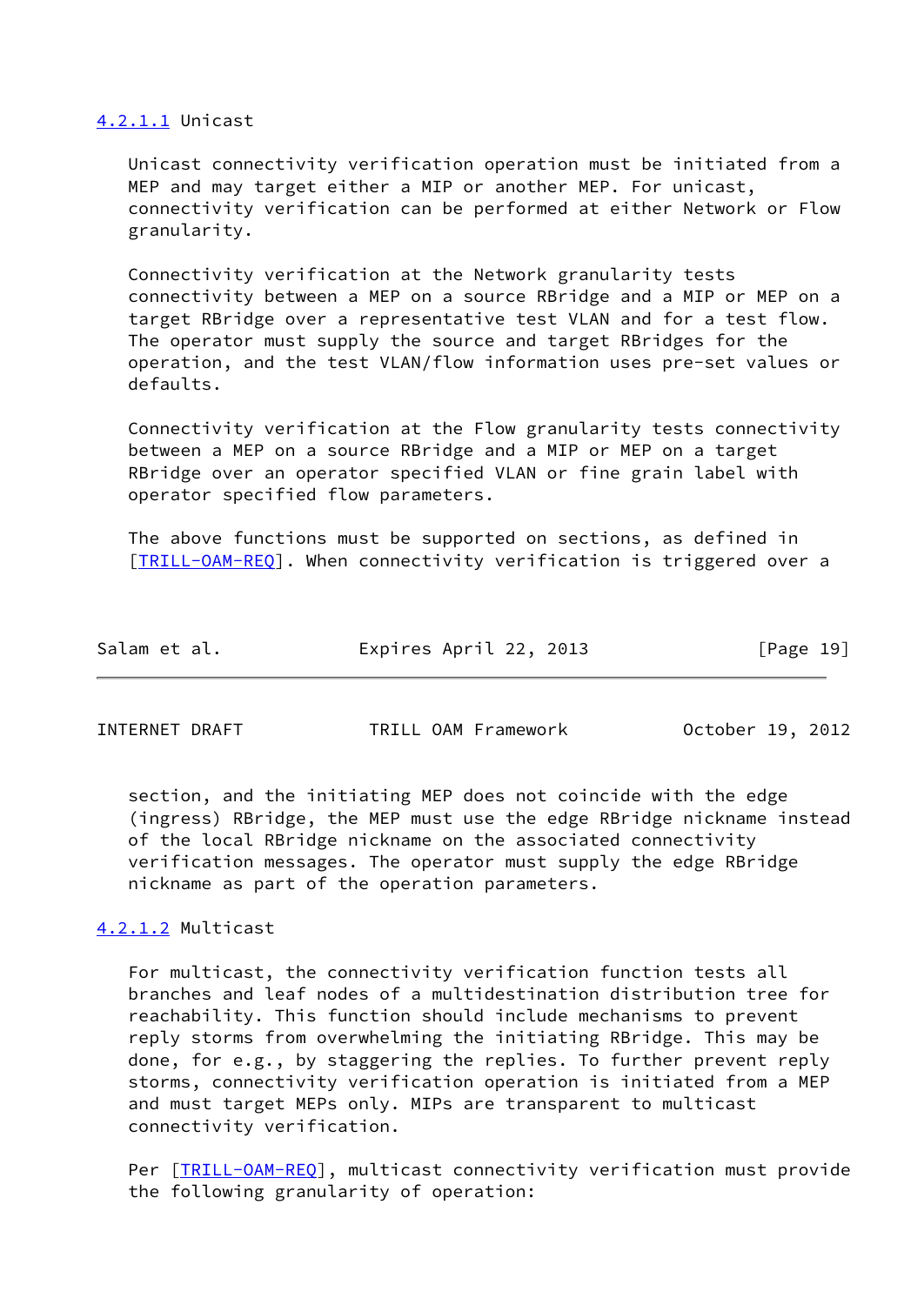#### <span id="page-21-0"></span>[4.2.1.1](#page-21-0) Unicast

 Unicast connectivity verification operation must be initiated from a MEP and may target either a MIP or another MEP. For unicast, connectivity verification can be performed at either Network or Flow granularity.

 Connectivity verification at the Network granularity tests connectivity between a MEP on a source RBridge and a MIP or MEP on a target RBridge over a representative test VLAN and for a test flow. The operator must supply the source and target RBridges for the operation, and the test VLAN/flow information uses pre-set values or defaults.

 Connectivity verification at the Flow granularity tests connectivity between a MEP on a source RBridge and a MIP or MEP on a target RBridge over an operator specified VLAN or fine grain label with operator specified flow parameters.

 The above functions must be supported on sections, as defined in [\[TRILL-OAM-REQ](#page-5-3)]. When connectivity verification is triggered over a

| Expires April 22, 2013<br>[Page 19]<br>Salam et al. |  |
|-----------------------------------------------------|--|
|-----------------------------------------------------|--|

<span id="page-21-2"></span>INTERNET DRAFT TRILL OAM Framework October 19, 2012

 section, and the initiating MEP does not coincide with the edge (ingress) RBridge, the MEP must use the edge RBridge nickname instead of the local RBridge nickname on the associated connectivity verification messages. The operator must supply the edge RBridge nickname as part of the operation parameters.

# <span id="page-21-1"></span>[4.2.1.2](#page-21-1) Multicast

 For multicast, the connectivity verification function tests all branches and leaf nodes of a multidestination distribution tree for reachability. This function should include mechanisms to prevent reply storms from overwhelming the initiating RBridge. This may be done, for e.g., by staggering the replies. To further prevent reply storms, connectivity verification operation is initiated from a MEP and must target MEPs only. MIPs are transparent to multicast connectivity verification.

Per [IRILL-OAM-REQ], multicast connectivity verification must provide the following granularity of operation: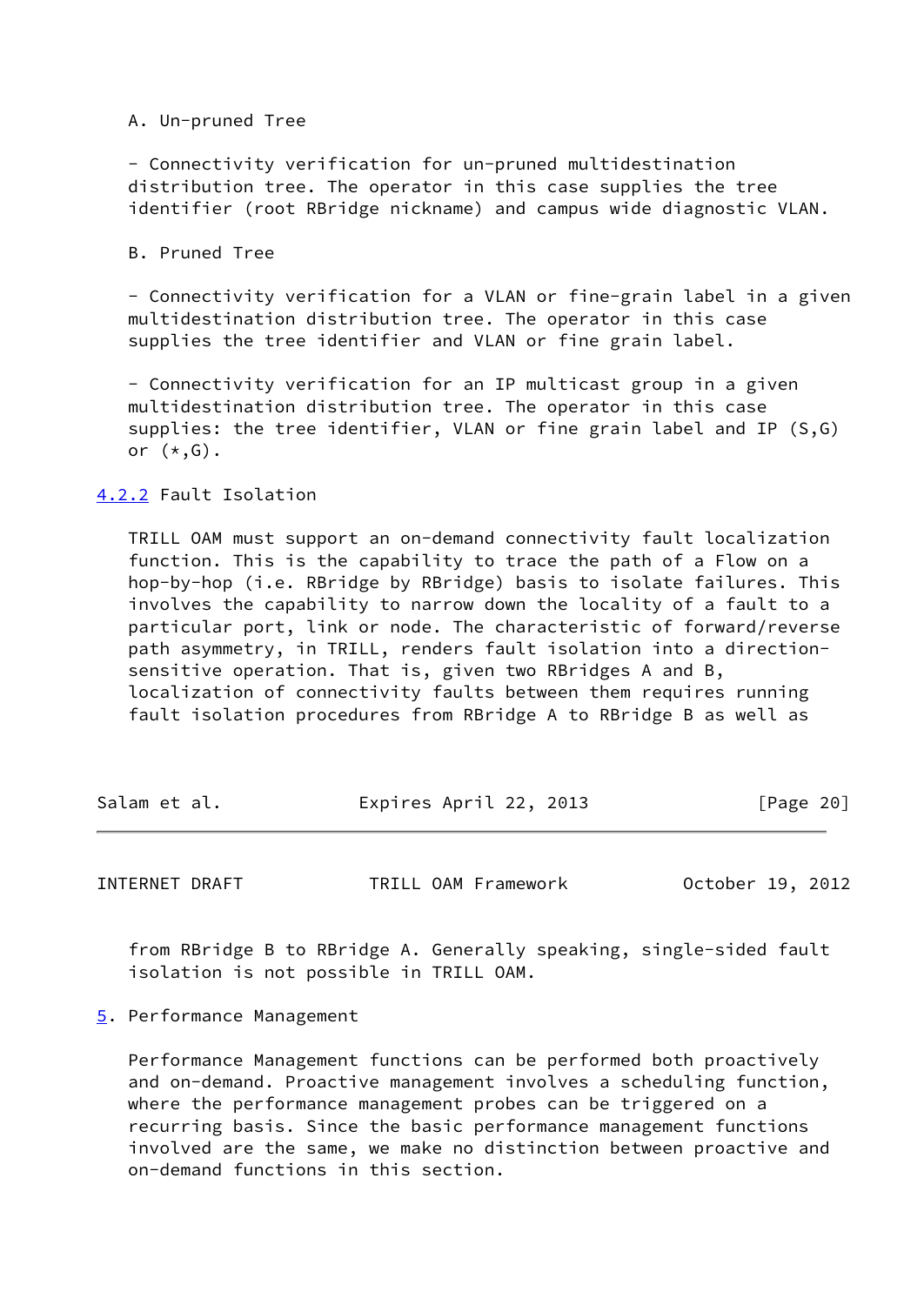A. Un-pruned Tree

 - Connectivity verification for un-pruned multidestination distribution tree. The operator in this case supplies the tree identifier (root RBridge nickname) and campus wide diagnostic VLAN.

B. Pruned Tree

 - Connectivity verification for a VLAN or fine-grain label in a given multidestination distribution tree. The operator in this case supplies the tree identifier and VLAN or fine grain label.

 - Connectivity verification for an IP multicast group in a given multidestination distribution tree. The operator in this case supplies: the tree identifier, VLAN or fine grain label and IP (S,G) or (\*,G).

### <span id="page-22-0"></span>[4.2.2](#page-22-0) Fault Isolation

 TRILL OAM must support an on-demand connectivity fault localization function. This is the capability to trace the path of a Flow on a hop-by-hop (i.e. RBridge by RBridge) basis to isolate failures. This involves the capability to narrow down the locality of a fault to a particular port, link or node. The characteristic of forward/reverse path asymmetry, in TRILL, renders fault isolation into a direction sensitive operation. That is, given two RBridges A and B, localization of connectivity faults between them requires running fault isolation procedures from RBridge A to RBridge B as well as

| Salam et al. | Expires April 22, 2013 | [Page 20] |
|--------------|------------------------|-----------|
|              |                        |           |

<span id="page-22-2"></span>INTERNET DRAFT TRILL OAM Framework October 19, 2012

 from RBridge B to RBridge A. Generally speaking, single-sided fault isolation is not possible in TRILL OAM.

<span id="page-22-1"></span>[5](#page-22-1). Performance Management

 Performance Management functions can be performed both proactively and on-demand. Proactive management involves a scheduling function, where the performance management probes can be triggered on a recurring basis. Since the basic performance management functions involved are the same, we make no distinction between proactive and on-demand functions in this section.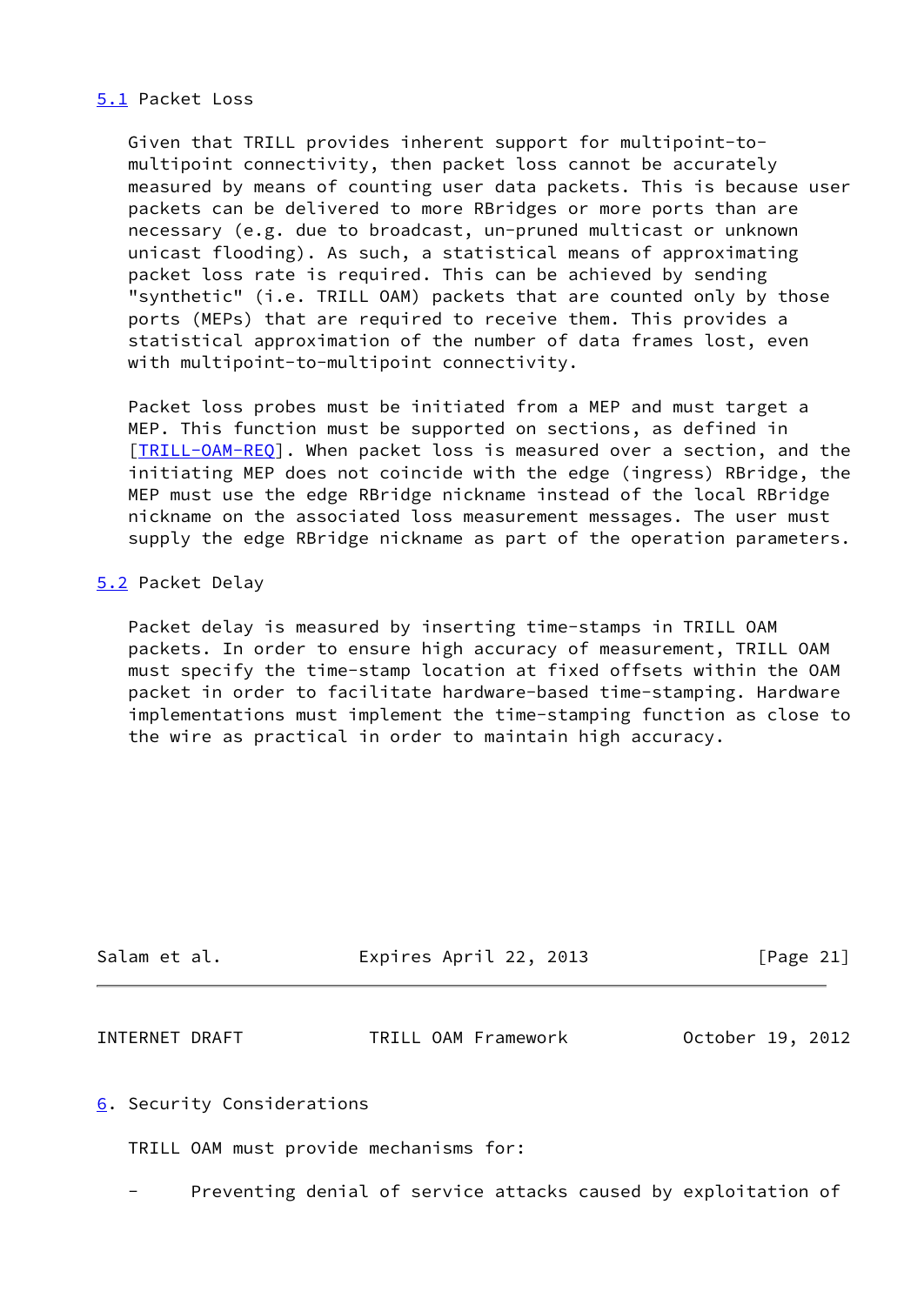## <span id="page-23-0"></span>[5.1](#page-23-0) Packet Loss

 Given that TRILL provides inherent support for multipoint-to multipoint connectivity, then packet loss cannot be accurately measured by means of counting user data packets. This is because user packets can be delivered to more RBridges or more ports than are necessary (e.g. due to broadcast, un-pruned multicast or unknown unicast flooding). As such, a statistical means of approximating packet loss rate is required. This can be achieved by sending "synthetic" (i.e. TRILL OAM) packets that are counted only by those ports (MEPs) that are required to receive them. This provides a statistical approximation of the number of data frames lost, even with multipoint-to-multipoint connectivity.

 Packet loss probes must be initiated from a MEP and must target a MEP. This function must be supported on sections, as defined in [\[TRILL-OAM-REQ](#page-5-3)]. When packet loss is measured over a section, and the initiating MEP does not coincide with the edge (ingress) RBridge, the MEP must use the edge RBridge nickname instead of the local RBridge nickname on the associated loss measurement messages. The user must supply the edge RBridge nickname as part of the operation parameters.

## <span id="page-23-1"></span>[5.2](#page-23-1) Packet Delay

 Packet delay is measured by inserting time-stamps in TRILL OAM packets. In order to ensure high accuracy of measurement, TRILL OAM must specify the time-stamp location at fixed offsets within the OAM packet in order to facilitate hardware-based time-stamping. Hardware implementations must implement the time-stamping function as close to the wire as practical in order to maintain high accuracy.

| Salam et al. | Expires April 22, 2013 | [Page 21] |
|--------------|------------------------|-----------|
|              |                        |           |

<span id="page-23-3"></span>INTERNET DRAFT TRILL OAM Framework October 19, 2012

<span id="page-23-2"></span>[6](#page-23-2). Security Considerations

TRILL OAM must provide mechanisms for:

Preventing denial of service attacks caused by exploitation of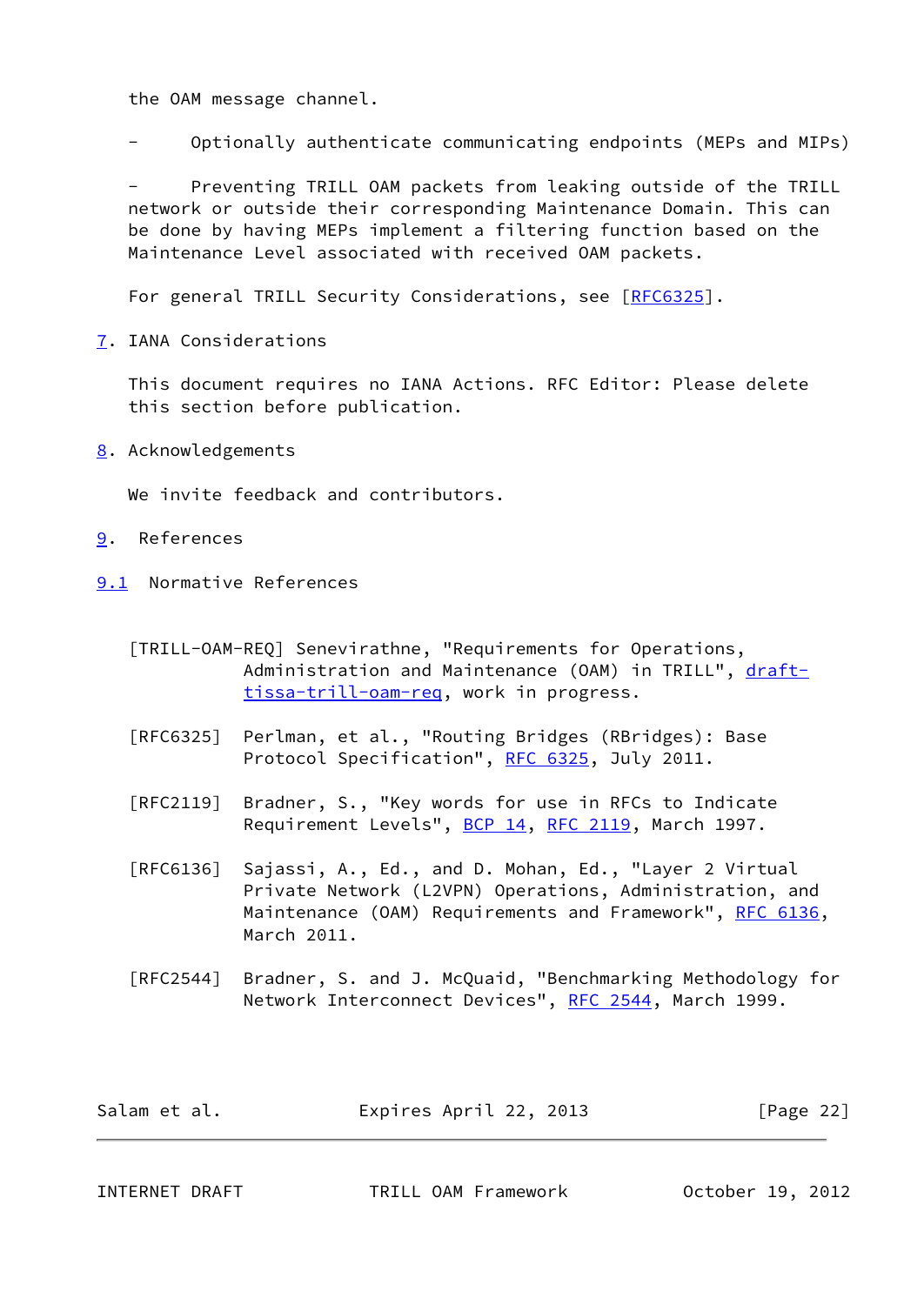the OAM message channel.

- Optionally authenticate communicating endpoints (MEPs and MIPs)

Preventing TRILL OAM packets from leaking outside of the TRILL network or outside their corresponding Maintenance Domain. This can be done by having MEPs implement a filtering function based on the Maintenance Level associated with received OAM packets.

For general TRILL Security Considerations, see [\[RFC6325](https://datatracker.ietf.org/doc/pdf/rfc6325)].

<span id="page-24-0"></span>[7](#page-24-0). IANA Considerations

 This document requires no IANA Actions. RFC Editor: Please delete this section before publication.

<span id="page-24-1"></span>[8](#page-24-1). Acknowledgements

We invite feedback and contributors.

- <span id="page-24-2"></span>[9](#page-24-2). References
- <span id="page-24-3"></span>[9.1](#page-24-3) Normative References
	- [TRILL-OAM-REQ] Senevirathne, "Requirements for Operations, Administration and Maintenance (OAM) in TRILL", [draft](https://datatracker.ietf.org/doc/pdf/draft-tissa-trill-oam-req) [tissa-trill-oam-req](https://datatracker.ietf.org/doc/pdf/draft-tissa-trill-oam-req), work in progress.
	- [RFC6325] Perlman, et al., "Routing Bridges (RBridges): Base Protocol Specification", [RFC 6325,](https://datatracker.ietf.org/doc/pdf/rfc6325) July 2011.
	- [RFC2119] Bradner, S., "Key words for use in RFCs to Indicate Requirement Levels", [BCP 14](https://datatracker.ietf.org/doc/pdf/bcp14), [RFC 2119](https://datatracker.ietf.org/doc/pdf/rfc2119), March 1997.

 [RFC6136] Sajassi, A., Ed., and D. Mohan, Ed., "Layer 2 Virtual Private Network (L2VPN) Operations, Administration, and Maintenance (OAM) Requirements and Framework", [RFC 6136](https://datatracker.ietf.org/doc/pdf/rfc6136), March 2011.

 [RFC2544] Bradner, S. and J. McQuaid, "Benchmarking Methodology for Network Interconnect Devices", [RFC 2544](https://datatracker.ietf.org/doc/pdf/rfc2544), March 1999.

| Salam et al. | Expires April 22, 2013 | [Page 22] |
|--------------|------------------------|-----------|
|--------------|------------------------|-----------|

<span id="page-24-4"></span>INTERNET DRAFT TRILL OAM Framework October 19, 2012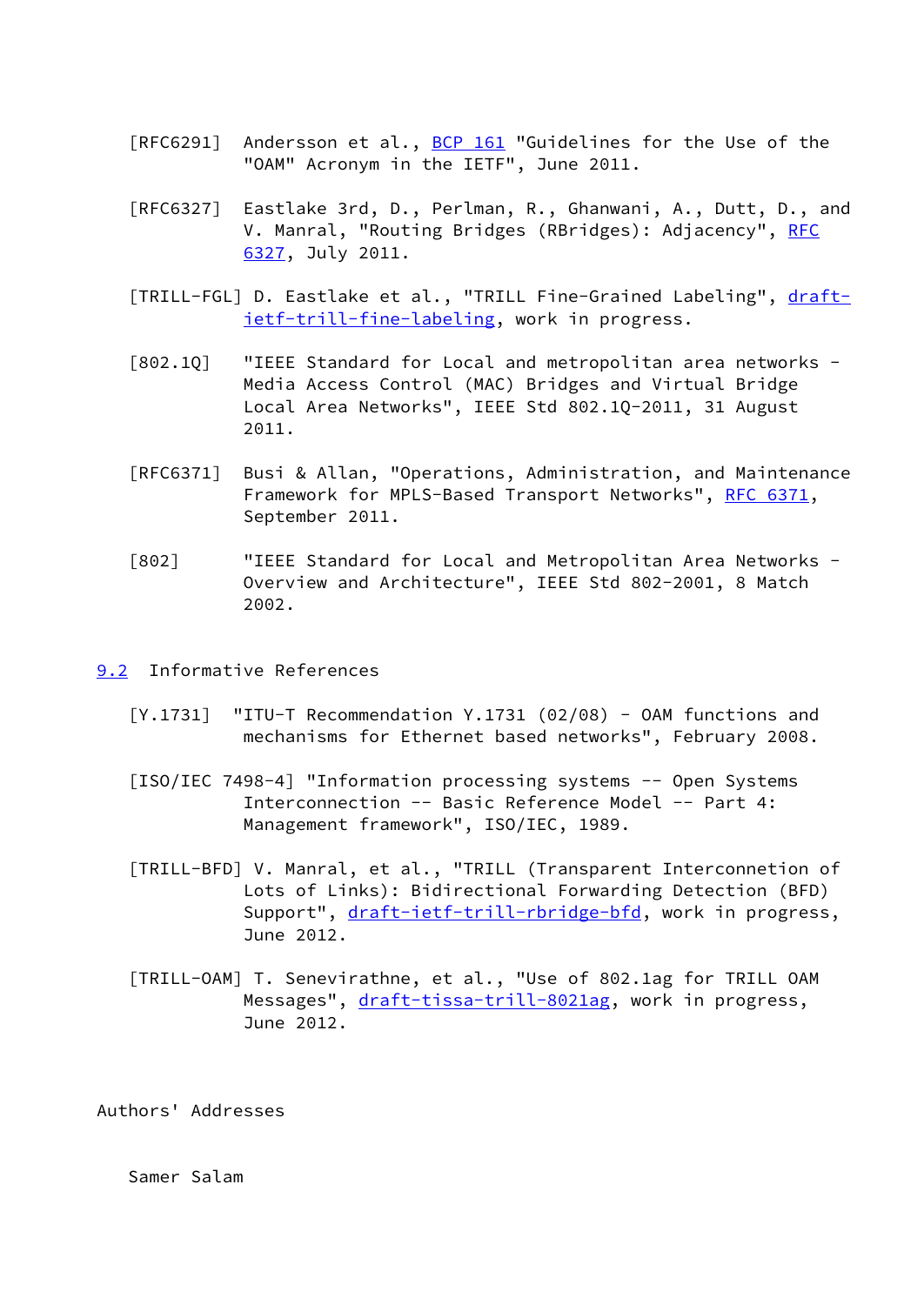- [RFC6291] Andersson et al., **BCP 161** "Guidelines for the Use of the "OAM" Acronym in the IETF", June 2011.
- [RFC6327] Eastlake 3rd, D., Perlman, R., Ghanwani, A., Dutt, D., and V. Manral, "Routing Bridges (RBridges): Adjacency", [RFC](https://datatracker.ietf.org/doc/pdf/rfc6327) [6327,](https://datatracker.ietf.org/doc/pdf/rfc6327) July 2011.
- <span id="page-25-2"></span>[TRILL-FGL] D. Eastlake et al., "TRILL Fine-Grained Labeling", [draft](https://datatracker.ietf.org/doc/pdf/draft-ietf-trill-fine-labeling) [ietf-trill-fine-labeling,](https://datatracker.ietf.org/doc/pdf/draft-ietf-trill-fine-labeling) work in progress.
- [802.1Q] "IEEE Standard for Local and metropolitan area networks Media Access Control (MAC) Bridges and Virtual Bridge Local Area Networks", IEEE Std 802.1Q-2011, 31 August 2011.
- [RFC6371] Busi & Allan, "Operations, Administration, and Maintenance Framework for MPLS-Based Transport Networks", [RFC 6371](https://datatracker.ietf.org/doc/pdf/rfc6371), September 2011.
- <span id="page-25-1"></span> [802] "IEEE Standard for Local and Metropolitan Area Networks - Overview and Architecture", IEEE Std 802-2001, 8 Match 2002.
- <span id="page-25-0"></span>[9.2](#page-25-0) Informative References
	- $[Y.1731]$  "ITU-T Recommendation  $Y.1731$  (02/08) OAM functions and mechanisms for Ethernet based networks", February 2008.
	- [ISO/IEC 7498-4] "Information processing systems -- Open Systems Interconnection -- Basic Reference Model -- Part 4: Management framework", ISO/IEC, 1989.
	- [TRILL-BFD] V. Manral, et al., "TRILL (Transparent Interconnetion of Lots of Links): Bidirectional Forwarding Detection (BFD) Support", [draft-ietf-trill-rbridge-bfd](https://datatracker.ietf.org/doc/pdf/draft-ietf-trill-rbridge-bfd), work in progress, June 2012.
	- [TRILL-OAM] T. Senevirathne, et al., "Use of 802.1ag for TRILL OAM Messages", [draft-tissa-trill-8021ag](https://datatracker.ietf.org/doc/pdf/draft-tissa-trill-8021ag), work in progress, June 2012.

<span id="page-25-3"></span>Authors' Addresses

Samer Salam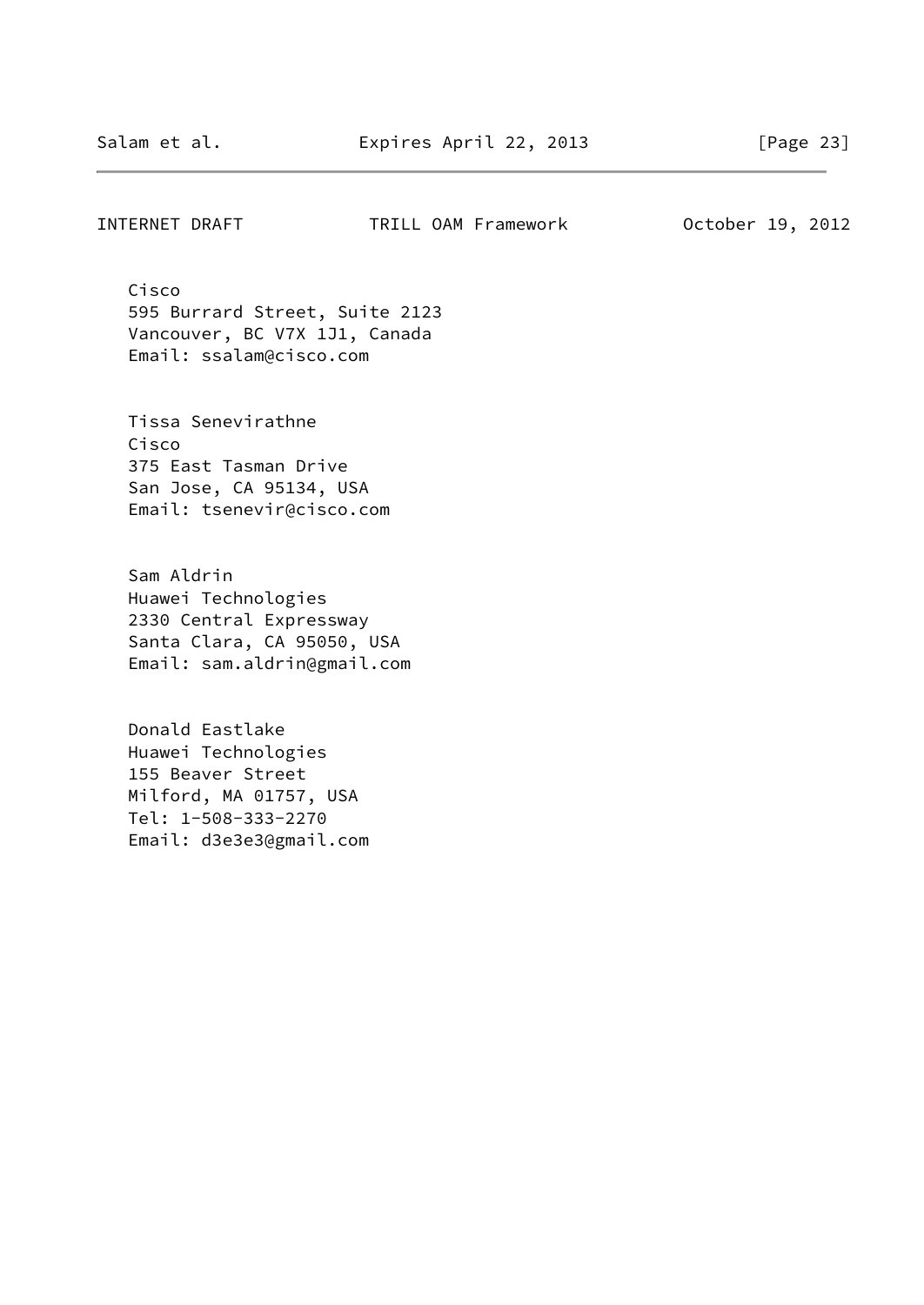### INTERNET DRAFT TRILL OAM Framework October 19, 2012

 Cisco 595 Burrard Street, Suite 2123 Vancouver, BC V7X 1J1, Canada Email: ssalam@cisco.com

 Tissa Senevirathne Cisco 375 East Tasman Drive San Jose, CA 95134, USA Email: tsenevir@cisco.com

 Sam Aldrin Huawei Technologies 2330 Central Expressway Santa Clara, CA 95050, USA Email: sam.aldrin@gmail.com

 Donald Eastlake Huawei Technologies 155 Beaver Street Milford, MA 01757, USA Tel: 1-508-333-2270 Email: d3e3e3@gmail.com